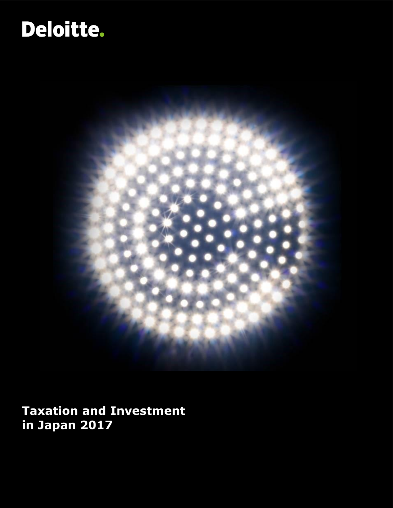# Deloitte.



**Taxation and Investment in Japan 2017**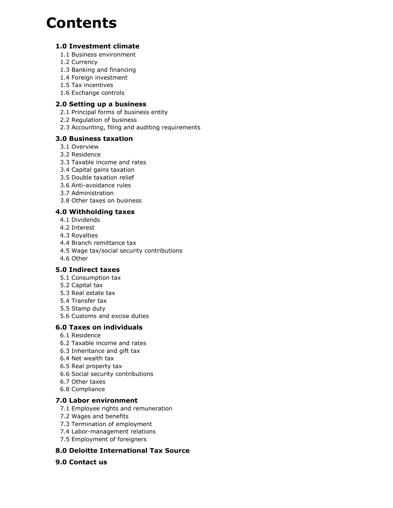## **Contents**

### **[1.0 Investment climate](#page-2-0)**

- [1.1 Business environment](#page-2-1)
- [1.2 Currency](#page-3-0)
- [1.3 Banking and financing](#page-3-1)
- [1.4 Foreign investment](#page-4-0)
- [1.5 Tax incentives](#page-4-1)
- [1.6 Exchange controls](#page-5-0)

#### **[2.0 Setting up a business](#page-6-0)**

- [2.1 Principal forms of business entity](#page-6-1)
- [2.2 Regulation of business](#page-8-0)
- [2.3 Accounting, filing and auditing requirements](#page-9-0)

#### **[3.0 Business taxation](#page-10-0)**

- [3.1 Overview](#page-10-1)
- [3.2 Residence](#page-11-0)
- [3.3 Taxable income and rates](#page-11-1)
- [3.4 Capital gains taxation](#page-14-0)
- [3.5 Double taxation relief](#page-14-1)
- [3.6 Anti-avoidance rules](#page-15-0)
- [3.7 Administration](#page-19-0)
- [3.8 Other taxes on business](#page-20-0)

## **[4.0 Withholding taxes](#page-22-0)**

- [4.1 Dividends](#page-22-1)
- [4.2 Interest](#page-22-2)
- [4.3 Royalties](#page-22-3)
- [4.4 Branch remittance tax](#page-22-4)
- [4.5 Wage tax/social security contributions](#page-22-5)
- [4.6 Other](#page-22-6)

#### **[5.0 Indirect taxes](#page-23-0)**

- [5.1 Consumption tax](#page-23-1)
- [5.2 Capital tax](#page-24-0)
- [5.3 Real estate tax](#page-24-1)
- [5.4 Transfer tax](#page-24-2)
- [5.5 Stamp duty](#page-24-3)
- [5.6 Customs and excise duties](#page-24-4)

#### **[6.0 Taxes on individuals](#page-26-0)**

- [6.1 Residence](#page-26-1)
- [6.2 Taxable income and rates](#page-27-0)
- [6.3 Inheritance and gift tax](#page-28-0)
- [6.4 Net wealth tax](#page-28-1)
- [6.5 Real property tax](#page-29-0)
- [6.6 Social security contributions](#page-29-1)
- [6.7 Other taxes](#page-29-2)
- [6.8 Compliance](#page-29-3)

#### **[7.0 Labor environment](#page-31-0)**

- [7.1 Employee rights and remuneration](#page-31-1)
- [7.2 Wages and benefits](#page-31-2)
- [7.3 Termination of employment](#page-32-0)
- [7.4 Labor-management relations](#page-33-0)
- [7.5 Employment of foreigners](#page-33-1)

## **[8.0 Deloitte International Tax Source](#page-34-0)**

#### **[9.0 Contact us](#page-35-0)**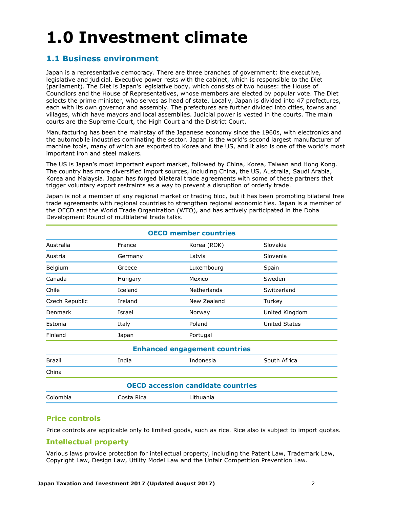## <span id="page-2-0"></span>**1.0 Investment climate**

## <span id="page-2-1"></span>**1.1 Business environment**

Japan is a representative democracy. There are three branches of government: the executive, legislative and judicial. Executive power rests with the cabinet, which is responsible to the Diet (parliament). The Diet is Japan's legislative body, which consists of two houses: the House of Councilors and the House of Representatives, whose members are elected by popular vote. The Diet selects the prime minister, who serves as head of state. Locally, Japan is divided into 47 prefectures, each with its own governor and assembly. The prefectures are further divided into cities, towns and villages, which have mayors and local assemblies. Judicial power is vested in the courts. The main courts are the Supreme Court, the High Court and the District Court.

Manufacturing has been the mainstay of the Japanese economy since the 1960s, with electronics and the automobile industries dominating the sector. Japan is the world's second largest manufacturer of machine tools, many of which are exported to Korea and the US, and it also is one of the world's most important iron and steel makers.

The US is Japan's most important export market, followed by China, Korea, Taiwan and Hong Kong. The country has more diversified import sources, including China, the US, Australia, Saudi Arabia, Korea and Malaysia. Japan has forged bilateral trade agreements with some of these partners that trigger voluntary export restraints as a way to prevent a disruption of orderly trade.

Japan is not a member of any regional market or trading bloc, but it has been promoting bilateral free trade agreements with regional countries to strengthen regional economic ties. Japan is a member of the OECD and the World Trade Organization (WTO), and has actively participated in the Doha Development Round of multilateral trade talks.

| <b>OECD member countries</b>              |                    |                         |                      |  |  |  |
|-------------------------------------------|--------------------|-------------------------|----------------------|--|--|--|
| Australia                                 | France             | Slovakia<br>Korea (ROK) |                      |  |  |  |
| Austria                                   | Germany            | Latvia                  | Slovenia             |  |  |  |
| Belgium                                   | Greece             | Luxembourg              | Spain                |  |  |  |
| Canada                                    | Hungary            | Mexico                  | Sweden               |  |  |  |
| Chile                                     | Iceland            | <b>Netherlands</b>      | Switzerland          |  |  |  |
| Czech Republic                            | Ireland            | New Zealand             | Turkey               |  |  |  |
| Denmark                                   | Israel             | Norway                  | United Kingdom       |  |  |  |
| Estonia                                   | Italy              | Poland                  | <b>United States</b> |  |  |  |
| Finland                                   | Japan              | Portugal                |                      |  |  |  |
| <b>Enhanced engagement countries</b>      |                    |                         |                      |  |  |  |
| <b>Brazil</b>                             | India<br>Indonesia |                         | South Africa         |  |  |  |
| China                                     |                    |                         |                      |  |  |  |
| <b>OECD accession candidate countries</b> |                    |                         |                      |  |  |  |
| Lithuania<br>Colombia<br>Costa Rica       |                    |                         |                      |  |  |  |

## **Price controls**

Price controls are applicable only to limited goods, such as rice. Rice also is subject to import quotas.

#### **Intellectual property**

Various laws provide protection for intellectual property, including the Patent Law, Trademark Law, Copyright Law, Design Law, Utility Model Law and the Unfair Competition Prevention Law.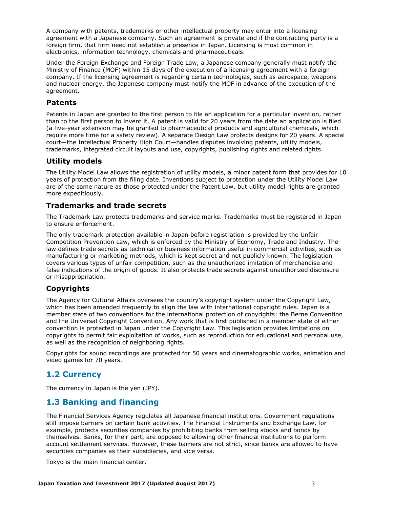A company with patents, trademarks or other intellectual property may enter into a licensing agreement with a Japanese company. Such an agreement is private and if the contracting party is a foreign firm, that firm need not establish a presence in Japan. Licensing is most common in electronics, information technology, chemicals and pharmaceuticals.

Under the Foreign Exchange and Foreign Trade Law, a Japanese company generally must notify the Ministry of Finance (MOF) within 15 days of the execution of a licensing agreement with a foreign company. If the licensing agreement is regarding certain technologies, such as aerospace, weapons and nuclear energy, the Japanese company must notify the MOF in advance of the execution of the agreement.

#### **Patents**

Patents in Japan are granted to the first person to file an application for a particular invention, rather than to the first person to invent it. A patent is valid for 20 years from the date an application is filed (a five-year extension may be granted to pharmaceutical products and agricultural chemicals, which require more time for a safety review). A separate Design Law protects designs for 20 years. A special court—the Intellectual Property High Court—handles disputes involving patents, utility models, trademarks, integrated circuit layouts and use, copyrights, publishing rights and related rights.

#### **Utility models**

The Utility Model Law allows the registration of utility models, a minor patent form that provides for 10 years of protection from the filing date. Inventions subject to protection under the Utility Model Law are of the same nature as those protected under the Patent Law, but utility model rights are granted more expeditiously.

#### **Trademarks and trade secrets**

The Trademark Law protects trademarks and service marks. Trademarks must be registered in Japan to ensure enforcement.

The only trademark protection available in Japan before registration is provided by the Unfair Competition Prevention Law, which is enforced by the Ministry of Economy, Trade and Industry. The law defines trade secrets as technical or business information useful in commercial activities, such as manufacturing or marketing methods, which is kept secret and not publicly known. The legislation covers various types of unfair competition, such as the unauthorized imitation of merchandise and false indications of the origin of goods. It also protects trade secrets against unauthorized disclosure or misappropriation.

#### **Copyrights**

The Agency for Cultural Affairs oversees the country's copyright system under the Copyright Law, which has been amended frequently to align the law with international copyright rules. Japan is a member state of two conventions for the international protection of copyrights: the Berne Convention and the Universal Copyright Convention. Any work that is first published in a member state of either convention is protected in Japan under the Copyright Law. This legislation provides limitations on copyrights to permit fair exploitation of works, such as reproduction for educational and personal use, as well as the recognition of neighboring rights.

Copyrights for sound recordings are protected for 50 years and cinematographic works, animation and video games for 70 years.

## <span id="page-3-0"></span>**1.2 Currency**

The currency in Japan is the yen (JPY).

## <span id="page-3-1"></span>**1.3 Banking and financing**

The Financial Services Agency regulates all Japanese financial institutions. Government regulations still impose barriers on certain bank activities. The Financial Instruments and Exchange Law, for example, protects securities companies by prohibiting banks from selling stocks and bonds by themselves. Banks, for their part, are opposed to allowing other financial institutions to perform account settlement services. However, these barriers are not strict, since banks are allowed to have securities companies as their subsidiaries, and vice versa.

Tokyo is the main financial center.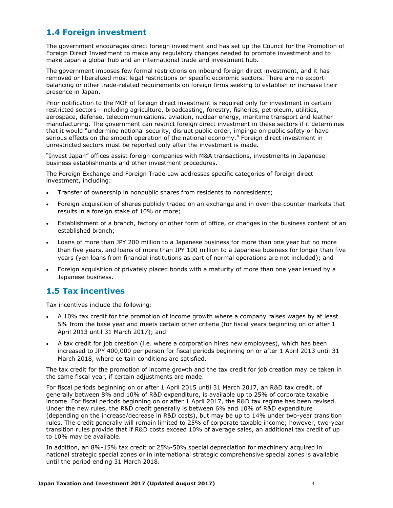## <span id="page-4-0"></span>**1.4 Foreign investment**

The government encourages direct foreign investment and has set up the Council for the Promotion of Foreign Direct Investment to make any regulatory changes needed to promote investment and to make Japan a global hub and an international trade and investment hub.

The government imposes few formal restrictions on inbound foreign direct investment, and it has removed or liberalized most legal restrictions on specific economic sectors. There are no exportbalancing or other trade-related requirements on foreign firms seeking to establish or increase their presence in Japan.

Prior notification to the MOF of foreign direct investment is required only for investment in certain restricted sectors—including agriculture, broadcasting, forestry, fisheries, petroleum, utilities, aerospace, defense, telecommunications, aviation, nuclear energy, maritime transport and leather manufacturing. The government can restrict foreign direct investment in these sectors if it determines that it would "undermine national security, disrupt public order, impinge on public safety or have serious effects on the smooth operation of the national economy." Foreign direct investment in unrestricted sectors must be reported only after the investment is made.

"Invest Japan" offices assist foreign companies with M&A transactions, investments in Japanese business establishments and other investment procedures.

The Foreign Exchange and Foreign Trade Law addresses specific categories of foreign direct investment, including:

- Transfer of ownership in nonpublic shares from residents to nonresidents;
- Foreign acquisition of shares publicly traded on an exchange and in over-the-counter markets that results in a foreign stake of 10% or more;
- Establishment of a branch, factory or other form of office, or changes in the business content of an established branch;
- Loans of more than JPY 200 million to a Japanese business for more than one year but no more than five years, and loans of more than JPY 100 million to a Japanese business for longer than five years (yen loans from financial institutions as part of normal operations are not included); and
- Foreign acquisition of privately placed bonds with a maturity of more than one year issued by a Japanese business.

## <span id="page-4-1"></span>**1.5 Tax incentives**

Tax incentives include the following:

- A 10% tax credit for the promotion of income growth where a company raises wages by at least 5% from the base year and meets certain other criteria (for fiscal years beginning on or after 1 April 2013 until 31 March 2017); and
- A tax credit for job creation (i.e. where a corporation hires new employees), which has been increased to JPY 400,000 per person for fiscal periods beginning on or after 1 April 2013 until 31 March 2018, where certain conditions are satisfied.

The tax credit for the promotion of income growth and the tax credit for job creation may be taken in the same fiscal year, if certain adjustments are made.

For fiscal periods beginning on or after 1 April 2015 until 31 March 2017, an R&D tax credit, of generally between 8% and 10% of R&D expenditure, is available up to 25% of corporate taxable income. For fiscal periods beginning on or after 1 April 2017, the R&D tax regime has been revised. Under the new rules, the R&D credit generally is between 6% and 10% of R&D expenditure (depending on the increase/decrease in R&D costs), but may be up to 14% under two-year transition rules. The credit generally will remain limited to 25% of corporate taxable income; however, two-year transition rules provide that if R&D costs exceed 10% of average sales, an additional tax credit of up to 10% may be available.

In addition, an 8%-15% tax credit or 25%-50% special depreciation for machinery acquired in national strategic special zones or in international strategic comprehensive special zones is available until the period ending 31 March 2018.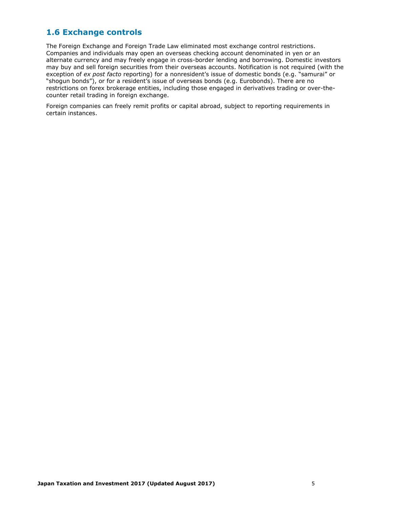## <span id="page-5-0"></span>**1.6 Exchange controls**

The Foreign Exchange and Foreign Trade Law eliminated most exchange control restrictions. Companies and individuals may open an overseas checking account denominated in yen or an alternate currency and may freely engage in cross-border lending and borrowing. Domestic investors may buy and sell foreign securities from their overseas accounts. Notification is not required (with the exception of *ex post facto* reporting) for a nonresident's issue of domestic bonds (e.g. "samurai" or "shogun bonds"), or for a resident's issue of overseas bonds (e.g. Eurobonds). There are no restrictions on forex brokerage entities, including those engaged in derivatives trading or over-thecounter retail trading in foreign exchange.

Foreign companies can freely remit profits or capital abroad, subject to reporting requirements in certain instances.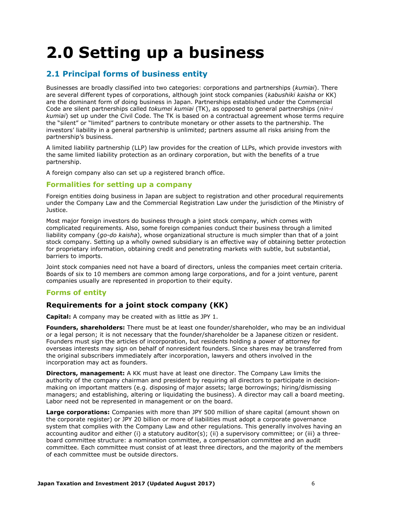## <span id="page-6-0"></span>**2.0 Setting up a business**

## <span id="page-6-1"></span>**2.1 Principal forms of business entity**

Businesses are broadly classified into two categories: corporations and partnerships (*kumiai*). There are several different types of corporations, although joint stock companies (*kabushiki kaisha* or KK) are the dominant form of doing business in Japan. Partnerships established under the Commercial Code are silent partnerships called *tokumei kumiai* (TK), as opposed to general partnerships (*nin-i kumiai*) set up under the Civil Code. The TK is based on a contractual agreement whose terms require the "silent" or "limited" partners to contribute monetary or other assets to the partnership. The investors' liability in a general partnership is unlimited; partners assume all risks arising from the partnership's business.

A limited liability partnership (LLP) law provides for the creation of LLPs, which provide investors with the same limited liability protection as an ordinary corporation, but with the benefits of a true partnership.

A foreign company also can set up a registered branch office.

#### **Formalities for setting up a company**

Foreign entities doing business in Japan are subject to registration and other procedural requirements under the Company Law and the Commercial Registration Law under the jurisdiction of the Ministry of Justice.

Most major foreign investors do business through a joint stock company, which comes with complicated requirements. Also, some foreign companies conduct their business through a limited liability company (*go-do kaisha*), whose organizational structure is much simpler than that of a joint stock company. Setting up a wholly owned subsidiary is an effective way of obtaining better protection for proprietary information, obtaining credit and penetrating markets with subtle, but substantial, barriers to imports.

Joint stock companies need not have a board of directors, unless the companies meet certain criteria. Boards of six to 10 members are common among large corporations, and for a joint venture, parent companies usually are represented in proportion to their equity.

#### **Forms of entity**

#### **Requirements for a joint stock company (KK)**

**Capital:** A company may be created with as little as JPY 1.

**Founders, shareholders:** There must be at least one founder/shareholder, who may be an individual or a legal person; it is not necessary that the founder/shareholder be a Japanese citizen or resident. Founders must sign the articles of incorporation, but residents holding a power of attorney for overseas interests may sign on behalf of nonresident founders. Since shares may be transferred from the original subscribers immediately after incorporation, lawyers and others involved in the incorporation may act as founders.

**Directors, management:** A KK must have at least one director. The Company Law limits the authority of the company chairman and president by requiring all directors to participate in decisionmaking on important matters (e.g. disposing of major assets; large borrowings; hiring/dismissing managers; and establishing, altering or liquidating the business). A director may call a board meeting. Labor need not be represented in management or on the board.

**Large corporations:** Companies with more than JPY 500 million of share capital (amount shown on the corporate register) or JPY 20 billion or more of liabilities must adopt a corporate governance system that complies with the Company Law and other regulations. This generally involves having an accounting auditor and either (i) a statutory auditor(s); (ii) a supervisory committee; or (iii) a threeboard committee structure: a nomination committee, a compensation committee and an audit committee. Each committee must consist of at least three directors, and the majority of the members of each committee must be outside directors.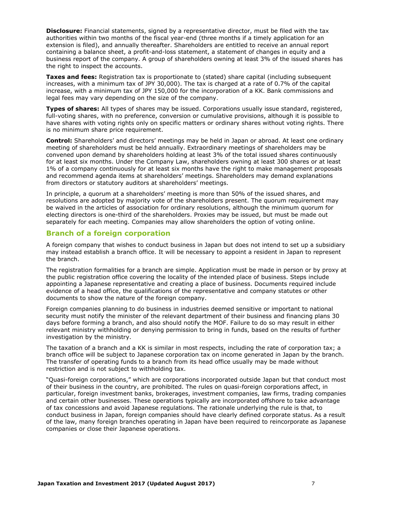**Disclosure:** Financial statements, signed by a representative director, must be filed with the tax authorities within two months of the fiscal year-end (three months if a timely application for an extension is filed), and annually thereafter. Shareholders are entitled to receive an annual report containing a balance sheet, a profit-and-loss statement, a statement of changes in equity and a business report of the company. A group of shareholders owning at least 3% of the issued shares has the right to inspect the accounts.

**Taxes and fees:** Registration tax is proportionate to (stated) share capital (including subsequent increases, with a minimum tax of JPY 30,000). The tax is charged at a rate of 0.7% of the capital increase, with a minimum tax of JPY 150,000 for the incorporation of a KK. Bank commissions and legal fees may vary depending on the size of the company.

**Types of shares:** All types of shares may be issued. Corporations usually issue standard, registered, full-voting shares, with no preference, conversion or cumulative provisions, although it is possible to have shares with voting rights only on specific matters or ordinary shares without voting rights. There is no minimum share price requirement.

**Control:** Shareholders' and directors' meetings may be held in Japan or abroad. At least one ordinary meeting of shareholders must be held annually. Extraordinary meetings of shareholders may be convened upon demand by shareholders holding at least 3% of the total issued shares continuously for at least six months. Under the Company Law, shareholders owning at least 300 shares or at least 1% of a company continuously for at least six months have the right to make management proposals and recommend agenda items at shareholders' meetings. Shareholders may demand explanations from directors or statutory auditors at shareholders' meetings.

In principle, a quorum at a shareholders' meeting is more than 50% of the issued shares, and resolutions are adopted by majority vote of the shareholders present. The quorum requirement may be waived in the articles of association for ordinary resolutions, although the minimum quorum for electing directors is one-third of the shareholders. Proxies may be issued, but must be made out separately for each meeting. Companies may allow shareholders the option of voting online.

#### **Branch of a foreign corporation**

A foreign company that wishes to conduct business in Japan but does not intend to set up a subsidiary may instead establish a branch office. It will be necessary to appoint a resident in Japan to represent the branch.

The registration formalities for a branch are simple. Application must be made in person or by proxy at the public registration office covering the locality of the intended place of business. Steps include appointing a Japanese representative and creating a place of business. Documents required include evidence of a head office, the qualifications of the representative and company statutes or other documents to show the nature of the foreign company.

Foreign companies planning to do business in industries deemed sensitive or important to national security must notify the minister of the relevant department of their business and financing plans 30 days before forming a branch, and also should notify the MOF. Failure to do so may result in either relevant ministry withholding or denying permission to bring in funds, based on the results of further investigation by the ministry.

The taxation of a branch and a KK is similar in most respects, including the rate of corporation tax; a branch office will be subject to Japanese corporation tax on income generated in Japan by the branch. The transfer of operating funds to a branch from its head office usually may be made without restriction and is not subject to withholding tax.

"Quasi-foreign corporations," which are corporations incorporated outside Japan but that conduct most of their business in the country, are prohibited. The rules on quasi-foreign corporations affect, in particular, foreign investment banks, brokerages, investment companies, law firms, trading companies and certain other businesses. These operations typically are incorporated offshore to take advantage of tax concessions and avoid Japanese regulations. The rationale underlying the rule is that, to conduct business in Japan, foreign companies should have clearly defined corporate status. As a result of the law, many foreign branches operating in Japan have been required to reincorporate as Japanese companies or close their Japanese operations.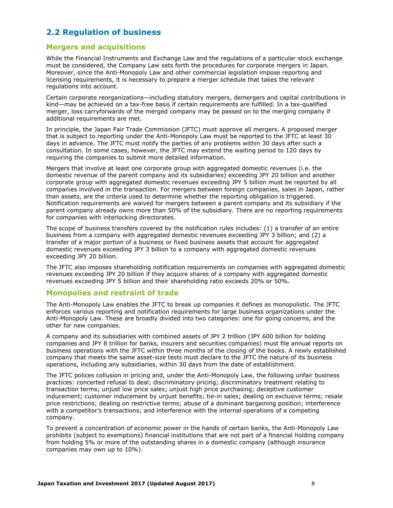## <span id="page-8-0"></span>**2.2 Regulation of business**

#### **Mergers and acquisitions**

While the Financial Instruments and Exchange Law and the regulations of a particular stock exchange must be considered, the Company Law sets forth the procedures for corporate mergers in Japan. Moreover, since the Anti-Monopoly Law and other commercial legislation impose reporting and licensing requirements, it is necessary to prepare a merger schedule that takes the relevant regulations into account.

Certain corporate reorganizations—including statutory mergers, demergers and capital contributions in kind—may be achieved on a tax-free basis if certain requirements are fulfilled. In a tax-qualified merger, loss carryforwards of the merged company may be passed on to the merging company if additional requirements are met.

In principle, the Japan Fair Trade Commission (JFTC) must approve all mergers. A proposed merger that is subject to reporting under the Anti-Monopoly Law must be reported to the JFTC at least 30 days in advance. The JFTC must notify the parties of any problems within 30 days after such a consultation. In some cases, however, the JFTC may extend the waiting period to 120 days by requiring the companies to submit more detailed information.

Mergers that involve at least one corporate group with aggregated domestic revenues (i.e. the domestic revenue of the parent company and its subsidiaries) exceeding JPY 20 billion and another corporate group with aggregated domestic revenues exceeding JPY 5 billion must be reported by all companies involved in the transaction. For mergers between foreign companies, sales in Japan, rather than assets, are the criteria used to determine whether the reporting obligation is triggered. Notification requirements are waived for mergers between a parent company and its subsidiary if the parent company already owns more than 50% of the subsidiary. There are no reporting requirements for companies with interlocking directorates.

The scope of business transfers covered by the notification rules includes: (1) a transfer of an entire business from a company with aggregated domestic revenues exceeding JPY 3 billion; and (2) a transfer of a major portion of a business or fixed business assets that account for aggregated domestic revenues exceeding JPY 3 billion to a company with aggregated domestic revenues exceeding JPY 20 billion.

The JFTC also imposes shareholding notification requirements on companies with aggregated domestic revenues exceeding JPY 20 billion if they acquire shares of a company with aggregated domestic revenues exceeding JPY 5 billion and their shareholding ratio exceeds 20% or 50%.

#### **Monopolies and restraint of trade**

The Anti-Monopoly Law enables the JFTC to break up companies it defines as monopolistic. The JFTC enforces various reporting and notification requirements for large business organizations under the Anti-Monopoly Law. These are broadly divided into two categories: one for going concerns, and the other for new companies.

A company and its subsidiaries with combined assets of JPY 2 trillion (JPY 600 billion for holding companies and JPY 8 trillion for banks, insurers and securities companies) must file annual reports on business operations with the JFTC within three months of the closing of the books. A newly established company that meets the same asset-size tests must declare to the JFTC the nature of its business operations, including any subsidiaries, within 30 days from the date of establishment.

The JFTC polices collusion in pricing and, under the Anti-Monopoly Law, the following unfair business practices: concerted refusal to deal; discriminatory pricing; discriminatory treatment relating to transaction terms; unjust low price sales; unjust high price purchasing; deceptive customer inducement; customer inducement by unjust benefits; tie-in sales; dealing on exclusive terms; resale price restrictions; dealing on restrictive terms; abuse of a dominant bargaining position; interference with a competitor's transactions; and interference with the internal operations of a competing company.

To prevent a concentration of economic power in the hands of certain banks, the Anti-Monopoly Law prohibits (subject to exemptions) financial institutions that are not part of a financial holding company from holding 5% or more of the outstanding shares in a domestic company (although insurance companies may own up to 10%).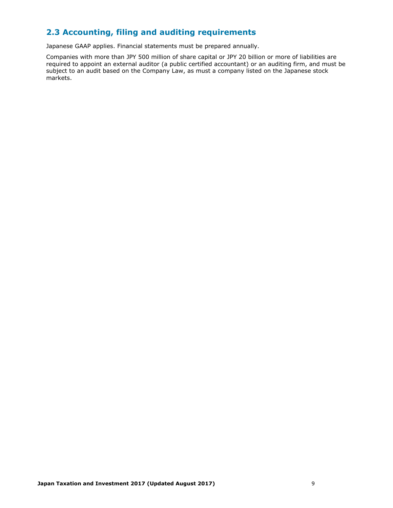## <span id="page-9-0"></span>**2.3 Accounting, filing and auditing requirements**

Japanese GAAP applies. Financial statements must be prepared annually.

Companies with more than JPY 500 million of share capital or JPY 20 billion or more of liabilities are required to appoint an external auditor (a public certified accountant) or an auditing firm, and must be subject to an audit based on the Company Law, as must a company listed on the Japanese stock markets.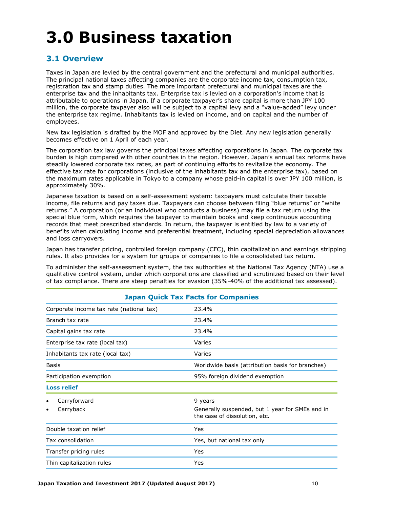## <span id="page-10-0"></span>**3.0 Business taxation**

## <span id="page-10-1"></span>**3.1 Overview**

Taxes in Japan are levied by the central government and the prefectural and municipal authorities. The principal national taxes affecting companies are the corporate income tax, consumption tax, registration tax and stamp duties. The more important prefectural and municipal taxes are the enterprise tax and the inhabitants tax. Enterprise tax is levied on a corporation's income that is attributable to operations in Japan. If a corporate taxpayer's share capital is more than JPY 100 million, the corporate taxpayer also will be subject to a capital levy and a "value-added" levy under the enterprise tax regime. Inhabitants tax is levied on income, and on capital and the number of employees.

New tax legislation is drafted by the MOF and approved by the Diet. Any new legislation generally becomes effective on 1 April of each year.

The corporation tax law governs the principal taxes affecting corporations in Japan. The corporate tax burden is high compared with other countries in the region. However, Japan's annual tax reforms have steadily lowered corporate tax rates, as part of continuing efforts to revitalize the economy. The effective tax rate for corporations (inclusive of the inhabitants tax and the enterprise tax), based on the maximum rates applicable in Tokyo to a company whose paid-in capital is over JPY 100 million, is approximately 30%.

Japanese taxation is based on a self-assessment system: taxpayers must calculate their taxable income, file returns and pay taxes due. Taxpayers can choose between filing "blue returns" or "white returns." A corporation (or an individual who conducts a business) may file a tax return using the special blue form, which requires the taxpayer to maintain books and keep continuous accounting records that meet prescribed standards. In return, the taxpayer is entitled by law to a variety of benefits when calculating income and preferential treatment, including special depreciation allowances and loss carryovers.

Japan has transfer pricing, controlled foreign company (CFC), thin capitalization and earnings stripping rules. It also provides for a system for groups of companies to file a consolidated tax return.

To administer the self-assessment system, the tax authorities at the National Tax Agency (NTA) use a qualitative control system, under which corporations are classified and scrutinized based on their level of tax compliance. There are steep penalties for evasion (35%-40% of the additional tax assessed).

| Japan Quick Tax Facts for Companies      |                                                                                  |  |  |  |
|------------------------------------------|----------------------------------------------------------------------------------|--|--|--|
| Corporate income tax rate (national tax) | 23.4%                                                                            |  |  |  |
| Branch tax rate                          | 23.4%                                                                            |  |  |  |
| Capital gains tax rate                   | 23.4%                                                                            |  |  |  |
| Enterprise tax rate (local tax)          | Varies                                                                           |  |  |  |
| Inhabitants tax rate (local tax)         | Varies                                                                           |  |  |  |
| Basis                                    | Worldwide basis (attribution basis for branches)                                 |  |  |  |
| Participation exemption                  | 95% foreign dividend exemption                                                   |  |  |  |
| <b>Loss relief</b>                       |                                                                                  |  |  |  |
| Carryforward                             | 9 years                                                                          |  |  |  |
| Carryback<br>٠                           | Generally suspended, but 1 year for SMEs and in<br>the case of dissolution, etc. |  |  |  |
| Double taxation relief                   | Yes                                                                              |  |  |  |
| Tax consolidation                        | Yes, but national tax only                                                       |  |  |  |
| Transfer pricing rules                   | Yes                                                                              |  |  |  |
| Thin capitalization rules                | Yes                                                                              |  |  |  |

#### **Japan Quick Tax Facts for Companies**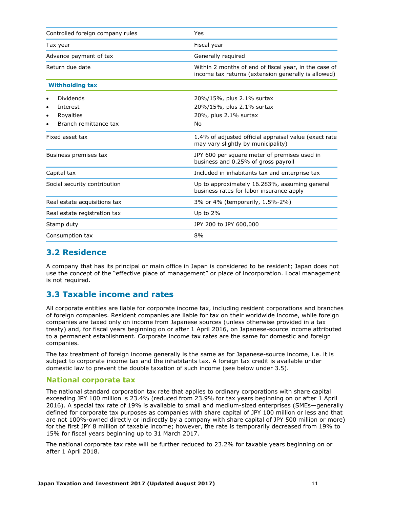| Controlled foreign company rules                                      | Yes                                                                                                          |  |  |  |
|-----------------------------------------------------------------------|--------------------------------------------------------------------------------------------------------------|--|--|--|
| Tax year                                                              | Fiscal year                                                                                                  |  |  |  |
| Advance payment of tax                                                | Generally required                                                                                           |  |  |  |
| Return due date                                                       | Within 2 months of end of fiscal year, in the case of<br>income tax returns (extension generally is allowed) |  |  |  |
| <b>Withholding tax</b>                                                |                                                                                                              |  |  |  |
| Dividends<br>Interest<br>٠<br>Royalties<br>٠<br>Branch remittance tax | 20%/15%, plus 2.1% surtax<br>20%/15%, plus 2.1% surtax<br>20%, plus 2.1% surtax<br>No                        |  |  |  |
| Fixed asset tax                                                       | 1.4% of adjusted official appraisal value (exact rate<br>may vary slightly by municipality)                  |  |  |  |
| Business premises tax                                                 | JPY 600 per square meter of premises used in<br>business and 0.25% of gross payroll                          |  |  |  |
| Capital tax                                                           | Included in inhabitants tax and enterprise tax                                                               |  |  |  |
| Social security contribution                                          | Up to approximately 16.283%, assuming general<br>business rates for labor insurance apply                    |  |  |  |
| Real estate acquisitions tax                                          | 3% or 4% (temporarily, 1.5%-2%)                                                                              |  |  |  |
| Real estate registration tax                                          | Up to $2\%$                                                                                                  |  |  |  |
| Stamp duty                                                            | JPY 200 to JPY 600,000                                                                                       |  |  |  |
| Consumption tax                                                       | 8%                                                                                                           |  |  |  |

#### <span id="page-11-0"></span>**3.2 Residence**

A company that has its principal or main office in Japan is considered to be resident; Japan does not use the concept of the "effective place of management" or place of incorporation. Local management is not required.

## <span id="page-11-1"></span>**3.3 Taxable income and rates**

All corporate entities are liable for corporate income tax, including resident corporations and branches of foreign companies. Resident companies are liable for tax on their worldwide income, while foreign companies are taxed only on income from Japanese sources (unless otherwise provided in a tax treaty) and, for fiscal years beginning on or after 1 April 2016, on Japanese-source income attributed to a permanent establishment. Corporate income tax rates are the same for domestic and foreign companies.

The tax treatment of foreign income generally is the same as for Japanese-source income, i.e. it is subject to corporate income tax and the inhabitants tax. A foreign tax credit is available under domestic law to prevent the double taxation of such income (see below under 3.5).

#### **National corporate tax**

The national standard corporation tax rate that applies to ordinary corporations with share capital exceeding JPY 100 million is 23.4% (reduced from 23.9% for tax years beginning on or after 1 April 2016). A special tax rate of 19% is available to small and medium-sized enterprises (SMEs—generally defined for corporate tax purposes as companies with share capital of JPY 100 million or less and that are not 100%-owned directly or indirectly by a company with share capital of JPY 500 million or more) for the first JPY 8 million of taxable income; however, the rate is temporarily decreased from 19% to 15% for fiscal years beginning up to 31 March 2017.

The national corporate tax rate will be further reduced to 23.2% for taxable years beginning on or after 1 April 2018.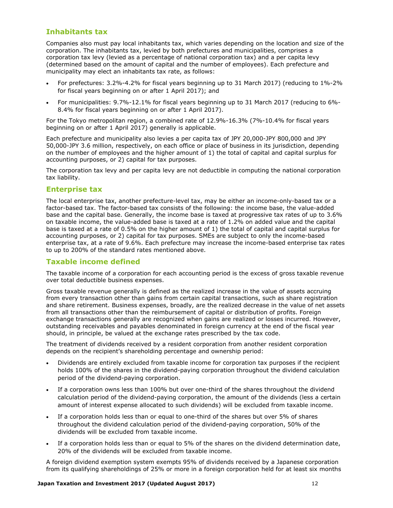#### **Inhabitants tax**

Companies also must pay local inhabitants tax, which varies depending on the location and size of the corporation. The inhabitants tax, levied by both prefectures and municipalities, comprises a corporation tax levy (levied as a percentage of national corporation tax) and a per capita levy (determined based on the amount of capital and the number of employees). Each prefecture and municipality may elect an inhabitants tax rate, as follows:

- For prefectures: 3.2%-4.2% for fiscal years beginning up to 31 March 2017) (reducing to 1%-2% for fiscal years beginning on or after 1 April 2017); and
- For municipalities: 9.7%-12.1% for fiscal years beginning up to 31 March 2017 (reducing to 6%- 8.4% for fiscal years beginning on or after 1 April 2017).

For the Tokyo metropolitan region, a combined rate of 12.9%-16.3% (7%-10.4% for fiscal years beginning on or after 1 April 2017) generally is applicable.

Each prefecture and municipality also levies a per capita tax of JPY 20,000-JPY 800,000 and JPY 50,000-JPY 3.6 million, respectively, on each office or place of business in its jurisdiction, depending on the number of employees and the higher amount of 1) the total of capital and capital surplus for accounting purposes, or 2) capital for tax purposes.

The corporation tax levy and per capita levy are not deductible in computing the national corporation tax liability.

#### **Enterprise tax**

The local enterprise tax, another prefecture-level tax, may be either an income-only-based tax or a factor-based tax. The factor-based tax consists of the following: the income base, the value-added base and the capital base. Generally, the income base is taxed at progressive tax rates of up to 3.6% on taxable income, the value-added base is taxed at a rate of 1.2% on added value and the capital base is taxed at a rate of 0.5% on the higher amount of 1) the total of capital and capital surplus for accounting purposes, or 2) capital for tax purposes. SMEs are subject to only the income-based enterprise tax, at a rate of 9.6%. Each prefecture may increase the income-based enterprise tax rates to up to 200% of the standard rates mentioned above.

#### **Taxable income defined**

The taxable income of a corporation for each accounting period is the excess of gross taxable revenue over total deductible business expenses.

Gross taxable revenue generally is defined as the realized increase in the value of assets accruing from every transaction other than gains from certain capital transactions, such as share registration and share retirement. Business expenses, broadly, are the realized decrease in the value of net assets from all transactions other than the reimbursement of capital or distribution of profits. Foreign exchange transactions generally are recognized when gains are realized or losses incurred. However, outstanding receivables and payables denominated in foreign currency at the end of the fiscal year should, in principle, be valued at the exchange rates prescribed by the tax code.

The treatment of dividends received by a resident corporation from another resident corporation depends on the recipient's shareholding percentage and ownership period:

- Dividends are entirely excluded from taxable income for corporation tax purposes if the recipient holds 100% of the shares in the dividend-paying corporation throughout the dividend calculation period of the dividend-paying corporation.
- If a corporation owns less than 100% but over one-third of the shares throughout the dividend calculation period of the dividend-paying corporation, the amount of the dividends (less a certain amount of interest expense allocated to such dividends) will be excluded from taxable income.
- If a corporation holds less than or equal to one-third of the shares but over 5% of shares throughout the dividend calculation period of the dividend-paying corporation, 50% of the dividends will be excluded from taxable income.
- If a corporation holds less than or equal to 5% of the shares on the dividend determination date, 20% of the dividends will be excluded from taxable income.

A foreign dividend exemption system exempts 95% of dividends received by a Japanese corporation from its qualifying shareholdings of 25% or more in a foreign corporation held for at least six months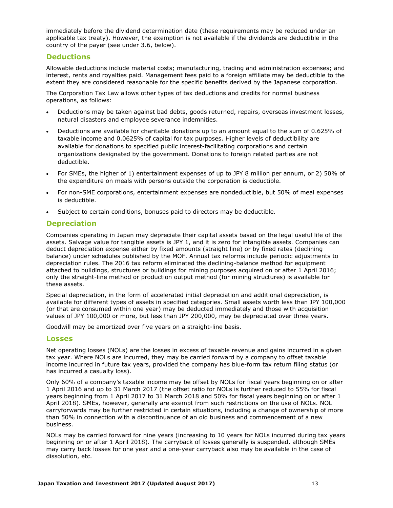immediately before the dividend determination date (these requirements may be reduced under an applicable tax treaty). However, the exemption is not available if the dividends are deductible in the country of the payer (see under 3.6, below).

#### **Deductions**

Allowable deductions include material costs; manufacturing, trading and administration expenses; and interest, rents and royalties paid. Management fees paid to a foreign affiliate may be deductible to the extent they are considered reasonable for the specific benefits derived by the Japanese corporation.

The Corporation Tax Law allows other types of tax deductions and credits for normal business operations, as follows:

- Deductions may be taken against bad debts, goods returned, repairs, overseas investment losses, natural disasters and employee severance indemnities.
- Deductions are available for charitable donations up to an amount equal to the sum of 0.625% of taxable income and 0.0625% of capital for tax purposes. Higher levels of deductibility are available for donations to specified public interest-facilitating corporations and certain organizations designated by the government. Donations to foreign related parties are not deductible.
- For SMEs, the higher of 1) entertainment expenses of up to JPY 8 million per annum, or 2) 50% of the expenditure on meals with persons outside the corporation is deductible.
- For non-SME corporations, entertainment expenses are nondeductible, but 50% of meal expenses is deductible.
- Subject to certain conditions, bonuses paid to directors may be deductible.

#### **Depreciation**

Companies operating in Japan may depreciate their capital assets based on the legal useful life of the assets. Salvage value for tangible assets is JPY 1, and it is zero for intangible assets. Companies can deduct depreciation expense either by fixed amounts (straight line) or by fixed rates (declining balance) under schedules published by the MOF. Annual tax reforms include periodic adjustments to depreciation rules. The 2016 tax reform eliminated the declining-balance method for equipment attached to buildings, structures or buildings for mining purposes acquired on or after 1 April 2016; only the straight-line method or production output method (for mining structures) is available for these assets.

Special depreciation, in the form of accelerated initial depreciation and additional depreciation, is available for different types of assets in specified categories. Small assets worth less than JPY 100,000 (or that are consumed within one year) may be deducted immediately and those with acquisition values of JPY 100,000 or more, but less than JPY 200,000, may be depreciated over three years.

Goodwill may be amortized over five years on a straight-line basis.

#### **Losses**

Net operating losses (NOLs) are the losses in excess of taxable revenue and gains incurred in a given tax year. Where NOLs are incurred, they may be carried forward by a company to offset taxable income incurred in future tax years, provided the company has blue-form tax return filing status (or has incurred a casualty loss).

Only 60% of a company's taxable income may be offset by NOLs for fiscal years beginning on or after 1 April 2016 and up to 31 March 2017 (the offset ratio for NOLs is further reduced to 55% for fiscal years beginning from 1 April 2017 to 31 March 2018 and 50% for fiscal years beginning on or after 1 April 2018). SMEs, however, generally are exempt from such restrictions on the use of NOLs. NOL carryforwards may be further restricted in certain situations, including a change of ownership of more than 50% in connection with a discontinuance of an old business and commencement of a new business.

NOLs may be carried forward for nine years (increasing to 10 years for NOLs incurred during tax years beginning on or after 1 April 2018). The carryback of losses generally is suspended, although SMEs may carry back losses for one year and a one-year carryback also may be available in the case of dissolution, etc.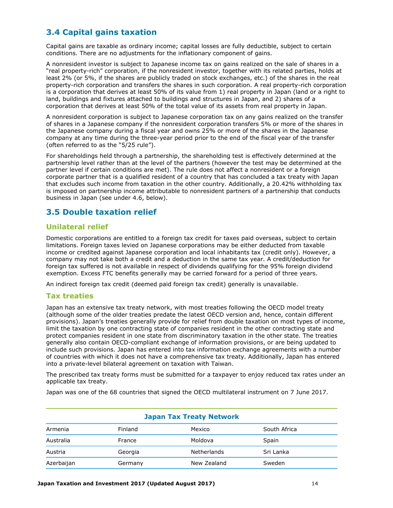## <span id="page-14-0"></span>**3.4 Capital gains taxation**

Capital gains are taxable as ordinary income; capital losses are fully deductible, subject to certain conditions. There are no adjustments for the inflationary component of gains.

A nonresident investor is subject to Japanese income tax on gains realized on the sale of shares in a "real property-rich" corporation, if the nonresident investor, together with its related parties, holds at least 2% (or 5%, if the shares are publicly traded on stock exchanges, etc.) of the shares in the real property-rich corporation and transfers the shares in such corporation. A real property-rich corporation is a corporation that derives at least 50% of its value from 1) real property in Japan (land or a right to land, buildings and fixtures attached to buildings and structures in Japan, and 2) shares of a corporation that derives at least 50% of the total value of its assets from real property in Japan.

A nonresident corporation is subject to Japanese corporation tax on any gains realized on the transfer of shares in a Japanese company if the nonresident corporation transfers 5% or more of the shares in the Japanese company during a fiscal year and owns 25% or more of the shares in the Japanese company at any time during the three-year period prior to the end of the fiscal year of the transfer (often referred to as the "5/25 rule").

For shareholdings held through a partnership, the shareholding test is effectively determined at the partnership level rather than at the level of the partners (however the test may be determined at the partner level if certain conditions are met). The rule does not affect a nonresident or a foreign corporate partner that is a qualified resident of a country that has concluded a tax treaty with Japan that excludes such income from taxation in the other country. Additionally, a 20.42% withholding tax is imposed on partnership income attributable to nonresident partners of a partnership that conducts business in Japan (see under 4.6, below).

## <span id="page-14-1"></span>**3.5 Double taxation relief**

### **Unilateral relief**

Domestic corporations are entitled to a foreign tax credit for taxes paid overseas, subject to certain limitations. Foreign taxes levied on Japanese corporations may be either deducted from taxable income or credited against Japanese corporation and local inhabitants tax (credit only). However, a company may not take both a credit and a deduction in the same tax year. A credit/deduction for foreign tax suffered is not available in respect of dividends qualifying for the 95% foreign dividend exemption. Excess FTC benefits generally may be carried forward for a period of three years.

An indirect foreign tax credit (deemed paid foreign tax credit) generally is unavailable.

#### **Tax treaties**

Japan has an extensive tax treaty network, with most treaties following the OECD model treaty (although some of the older treaties predate the latest OECD version and, hence, contain different provisions). Japan's treaties generally provide for relief from double taxation on most types of income, limit the taxation by one contracting state of companies resident in the other contracting state and protect companies resident in one state from discriminatory taxation in the other state. The treaties generally also contain OECD-compliant exchange of information provisions, or are being updated to include such provisions. Japan has entered into tax information exchange agreements with a number of countries with which it does not have a comprehensive tax treaty. Additionally, Japan has entered into a private-level bilateral agreement on taxation with Taiwan.

The prescribed tax treaty forms must be submitted for a taxpayer to enjoy reduced tax rates under an applicable tax treaty.

Japan was one of the 68 countries that signed the OECD multilateral instrument on 7 June 2017.

| <b>Japan Tax Treaty Network</b> |         |             |              |  |  |
|---------------------------------|---------|-------------|--------------|--|--|
| Armenia                         | Finland | Mexico      | South Africa |  |  |
| Australia                       | France  | Moldova     | Spain        |  |  |
| Austria                         | Georgia | Netherlands | Sri Lanka    |  |  |
| Azerbaijan                      | Germany | New Zealand | Sweden       |  |  |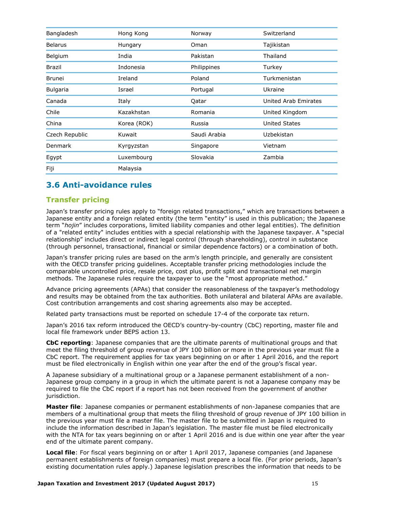| Bangladesh      | Hong Kong   | Norway       | Switzerland          |  |
|-----------------|-------------|--------------|----------------------|--|
| <b>Belarus</b>  | Hungary     | Oman         | Tajikistan           |  |
| Belgium         | India       | Pakistan     | Thailand             |  |
| <b>Brazil</b>   | Indonesia   | Philippines  | Turkey               |  |
| <b>Brunei</b>   | Ireland     | Poland       | Turkmenistan         |  |
| <b>Bulgaria</b> | Israel      | Portugal     | Ukraine              |  |
| Canada          | Italy       | Qatar        | United Arab Emirates |  |
| Chile           | Kazakhstan  | Romania      | United Kingdom       |  |
| China           | Korea (ROK) | Russia       | <b>United States</b> |  |
| Czech Republic  | Kuwait      | Saudi Arabia | Uzbekistan           |  |
| Denmark         | Kyrgyzstan  | Singapore    | Vietnam              |  |
| Egypt           | Luxembourg  | Slovakia     | Zambia               |  |
| Fiji            | Malaysia    |              |                      |  |

## <span id="page-15-0"></span>**3.6 Anti-avoidance rules**

#### **Transfer pricing**

Japan's transfer pricing rules apply to "foreign related transactions," which are transactions between a Japanese entity and a foreign related entity (the term "entity" is used in this publication; the Japanese term "*hojin*" includes corporations, limited liability companies and other legal entities). The definition of a "related entity" includes entities with a special relationship with the Japanese taxpayer. A "special relationship" includes direct or indirect legal control (through shareholding), control in substance (through personnel, transactional, financial or similar dependence factors) or a combination of both.

Japan's transfer pricing rules are based on the arm's length principle, and generally are consistent with the OECD transfer pricing guidelines. Acceptable transfer pricing methodologies include the comparable uncontrolled price, resale price, cost plus, profit split and transactional net margin methods. The Japanese rules require the taxpayer to use the "most appropriate method."

Advance pricing agreements (APAs) that consider the reasonableness of the taxpayer's methodology and results may be obtained from the tax authorities. Both unilateral and bilateral APAs are available. Cost contribution arrangements and cost sharing agreements also may be accepted.

Related party transactions must be reported on schedule 17-4 of the corporate tax return.

Japan's 2016 tax reform introduced the OECD's country-by-country (CbC) reporting, master file and local file framework under BEPS action 13.

**CbC reporting**: Japanese companies that are the ultimate parents of multinational groups and that meet the filing threshold of group revenue of JPY 100 billion or more in the previous year must file a CbC report. The requirement applies for tax years beginning on or after 1 April 2016, and the report must be filed electronically in English within one year after the end of the group's fiscal year.

A Japanese subsidiary of a multinational group or a Japanese permanent establishment of a non-Japanese group company in a group in which the ultimate parent is not a Japanese company may be required to file the CbC report if a report has not been received from the government of another jurisdiction.

**Master file**: Japanese companies or permanent establishments of non-Japanese companies that are members of a multinational group that meets the filing threshold of group revenue of JPY 100 billion in the previous year must file a master file. The master file to be submitted in Japan is required to include the information described in Japan's legislation. The master file must be filed electronically with the NTA for tax years beginning on or after 1 April 2016 and is due within one year after the year end of the ultimate parent company.

**Local file**: For fiscal years beginning on or after 1 April 2017, Japanese companies (and Japanese permanent establishments of foreign companies) must prepare a local file. (For prior periods, Japan's existing documentation rules apply.) Japanese legislation prescribes the information that needs to be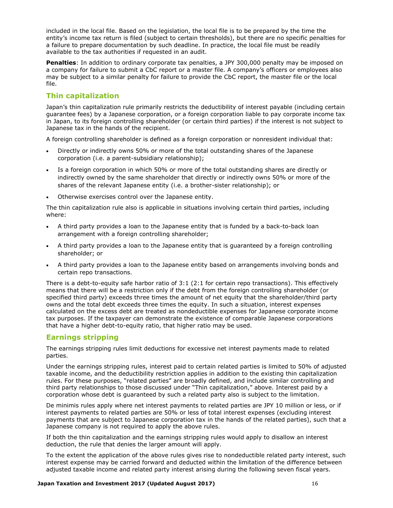included in the local file. Based on the legislation, the local file is to be prepared by the time the entity's income tax return is filed (subject to certain thresholds), but there are no specific penalties for a failure to prepare documentation by such deadline. In practice, the local file must be readily available to the tax authorities if requested in an audit.

**Penalties**: In addition to ordinary corporate tax penalties, a JPY 300,000 penalty may be imposed on a company for failure to submit a CbC report or a master file. A company's officers or employees also may be subject to a similar penalty for failure to provide the CbC report, the master file or the local file.

#### **Thin capitalization**

Japan's thin capitalization rule primarily restricts the deductibility of interest payable (including certain guarantee fees) by a Japanese corporation, or a foreign corporation liable to pay corporate income tax in Japan, to its foreign controlling shareholder (or certain third parties) if the interest is not subject to Japanese tax in the hands of the recipient.

A foreign controlling shareholder is defined as a foreign corporation or nonresident individual that:

- Directly or indirectly owns 50% or more of the total outstanding shares of the Japanese corporation (i.e. a parent-subsidiary relationship);
- Is a foreign corporation in which 50% or more of the total outstanding shares are directly or indirectly owned by the same shareholder that directly or indirectly owns 50% or more of the shares of the relevant Japanese entity (i.e. a brother-sister relationship); or
- Otherwise exercises control over the Japanese entity.

The thin capitalization rule also is applicable in situations involving certain third parties, including where:

- A third party provides a loan to the Japanese entity that is funded by a back-to-back loan arrangement with a foreign controlling shareholder;
- A third party provides a loan to the Japanese entity that is guaranteed by a foreign controlling shareholder; or
- A third party provides a loan to the Japanese entity based on arrangements involving bonds and certain repo transactions.

There is a debt-to-equity safe harbor ratio of 3:1 (2:1 for certain repo transactions). This effectively means that there will be a restriction only if the debt from the foreign controlling shareholder (or specified third party) exceeds three times the amount of net equity that the shareholder/third party owns and the total debt exceeds three times the equity. In such a situation, interest expenses calculated on the excess debt are treated as nondeductible expenses for Japanese corporate income tax purposes. If the taxpayer can demonstrate the existence of comparable Japanese corporations that have a higher debt-to-equity ratio, that higher ratio may be used.

#### **Earnings stripping**

The earnings stripping rules limit deductions for excessive net interest payments made to related parties.

Under the earnings stripping rules, interest paid to certain related parties is limited to 50% of adjusted taxable income, and the deductibility restriction applies in addition to the existing thin capitalization rules. For these purposes, "related parties" are broadly defined, and include similar controlling and third party relationships to those discussed under "Thin capitalization," above. Interest paid by a corporation whose debt is guaranteed by such a related party also is subject to the limitation.

De minimis rules apply where net interest payments to related parties are JPY 10 million or less, or if interest payments to related parties are 50% or less of total interest expenses (excluding interest payments that are subject to Japanese corporation tax in the hands of the related parties), such that a Japanese company is not required to apply the above rules.

If both the thin capitalization and the earnings stripping rules would apply to disallow an interest deduction, the rule that denies the larger amount will apply.

To the extent the application of the above rules gives rise to nondeductible related party interest, such interest expense may be carried forward and deducted within the limitation of the difference between adjusted taxable income and related party interest arising during the following seven fiscal years.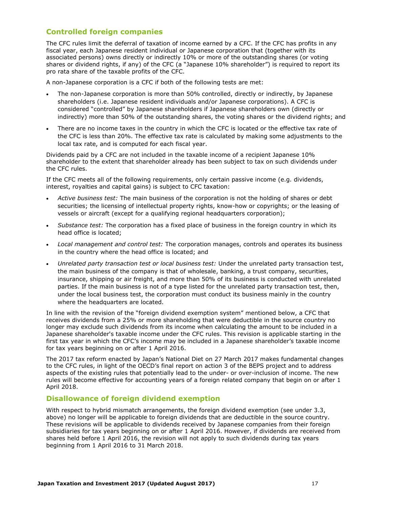### **Controlled foreign companies**

The CFC rules limit the deferral of taxation of income earned by a CFC. If the CFC has profits in any fiscal year, each Japanese resident individual or Japanese corporation that (together with its associated persons) owns directly or indirectly 10% or more of the outstanding shares (or voting shares or dividend rights, if any) of the CFC (a "Japanese 10% shareholder") is required to report its pro rata share of the taxable profits of the CFC.

A non-Japanese corporation is a CFC if both of the following tests are met:

- The non-Japanese corporation is more than 50% controlled, directly or indirectly, by Japanese shareholders (i.e. Japanese resident individuals and/or Japanese corporations). A CFC is considered "controlled" by Japanese shareholders if Japanese shareholders own (directly or indirectly) more than 50% of the outstanding shares, the voting shares or the dividend rights; and
- There are no income taxes in the country in which the CFC is located or the effective tax rate of the CFC is less than 20%. The effective tax rate is calculated by making some adjustments to the local tax rate, and is computed for each fiscal year.

Dividends paid by a CFC are not included in the taxable income of a recipient Japanese 10% shareholder to the extent that shareholder already has been subject to tax on such dividends under the CFC rules.

If the CFC meets all of the following requirements, only certain passive income (e.g. dividends, interest, royalties and capital gains) is subject to CFC taxation:

- *Active business test:* The main business of the corporation is not the holding of shares or debt securities; the licensing of intellectual property rights, know-how or copyrights; or the leasing of vessels or aircraft (except for a qualifying regional headquarters corporation);
- *Substance test:* The corporation has a fixed place of business in the foreign country in which its head office is located;
- *Local management and control test:* The corporation manages, controls and operates its business in the country where the head office is located; and
- *Unrelated party transaction test or local business test:* Under the unrelated party transaction test, the main business of the company is that of wholesale, banking, a trust company, securities, insurance, shipping or air freight, and more than 50% of its business is conducted with unrelated parties. If the main business is not of a type listed for the unrelated party transaction test, then, under the local business test, the corporation must conduct its business mainly in the country where the headquarters are located.

In line with the revision of the "foreign dividend exemption system" mentioned below, a CFC that receives dividends from a 25% or more shareholding that were deductible in the source country no longer may exclude such dividends from its income when calculating the amount to be included in a Japanese shareholder's taxable income under the CFC rules. This revision is applicable starting in the first tax year in which the CFC's income may be included in a Japanese shareholder's taxable income for tax years beginning on or after 1 April 2016.

The 2017 tax reform enacted by Japan's National Diet on 27 March 2017 makes fundamental changes to the CFC rules, in light of the OECD's final report on action 3 of the BEPS project and to address aspects of the existing rules that potentially lead to the under- or over-inclusion of income. The new rules will become effective for accounting years of a foreign related company that begin on or after 1 April 2018.

#### **Disallowance of foreign dividend exemption**

With respect to hybrid mismatch arrangements, the foreign dividend exemption (see under 3.3, above) no longer will be applicable to foreign dividends that are deductible in the source country. These revisions will be applicable to dividends received by Japanese companies from their foreign subsidiaries for tax years beginning on or after 1 April 2016. However, if dividends are received from shares held before 1 April 2016, the revision will not apply to such dividends during tax years beginning from 1 April 2016 to 31 March 2018.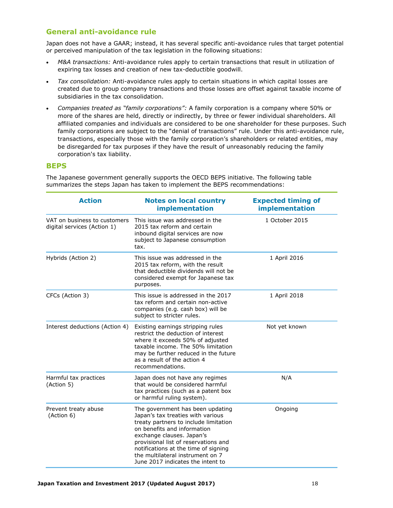### **General anti-avoidance rule**

Japan does not have a GAAR; instead, it has several specific anti-avoidance rules that target potential or perceived manipulation of the tax legislation in the following situations:

- *M&A transactions:* Anti-avoidance rules apply to certain transactions that result in utilization of expiring tax losses and creation of new tax-deductible goodwill.
- *Tax consolidation:* Anti-avoidance rules apply to certain situations in which capital losses are created due to group company transactions and those losses are offset against taxable income of subsidiaries in the tax consolidation.
- *Companies treated as "family corporations":* A family corporation is a company where 50% or more of the shares are held, directly or indirectly, by three or fewer individual shareholders. All affiliated companies and individuals are considered to be one shareholder for these purposes. Such family corporations are subject to the "denial of transactions" rule. Under this anti-avoidance rule, transactions, especially those with the family corporation's shareholders or related entities, may be disregarded for tax purposes if they have the result of unreasonably reducing the family corporation's tax liability.

#### **BEPS**

The Japanese government generally supports the OECD BEPS initiative. The following table summarizes the steps Japan has taken to implement the BEPS recommendations:

| <b>Action</b>                                                                                                                                                                   | <b>Notes on local country</b><br>implementation                                                                                                                                                                                                                                                                                     | <b>Expected timing of</b><br>implementation |  |  |
|---------------------------------------------------------------------------------------------------------------------------------------------------------------------------------|-------------------------------------------------------------------------------------------------------------------------------------------------------------------------------------------------------------------------------------------------------------------------------------------------------------------------------------|---------------------------------------------|--|--|
| VAT on business to customers<br>digital services (Action 1)                                                                                                                     | This issue was addressed in the<br>2015 tax reform and certain<br>inbound digital services are now<br>subject to Japanese consumption<br>tax.                                                                                                                                                                                       |                                             |  |  |
| Hybrids (Action 2)                                                                                                                                                              | This issue was addressed in the<br>2015 tax reform, with the result<br>that deductible dividends will not be<br>considered exempt for Japanese tax<br>purposes.                                                                                                                                                                     | 1 April 2016                                |  |  |
| CFCs (Action 3)                                                                                                                                                                 | This issue is addressed in the 2017<br>tax reform and certain non-active<br>companies (e.g. cash box) will be<br>subject to stricter rules.                                                                                                                                                                                         | 1 April 2018                                |  |  |
| Interest deductions (Action 4)                                                                                                                                                  | Existing earnings stripping rules<br>restrict the deduction of interest<br>where it exceeds 50% of adjusted<br>taxable income. The 50% limitation<br>may be further reduced in the future<br>as a result of the action 4<br>recommendations.                                                                                        | Not yet known                               |  |  |
| Harmful tax practices<br>Japan does not have any regimes<br>(Action 5)<br>that would be considered harmful<br>tax practices (such as a patent box<br>or harmful ruling system). |                                                                                                                                                                                                                                                                                                                                     | N/A                                         |  |  |
| Prevent treaty abuse<br>(Action 6)                                                                                                                                              | The government has been updating<br>Japan's tax treaties with various<br>treaty partners to include limitation<br>on benefits and information<br>exchange clauses. Japan's<br>provisional list of reservations and<br>notifications at the time of signing<br>the multilateral instrument on 7<br>June 2017 indicates the intent to | Ongoing                                     |  |  |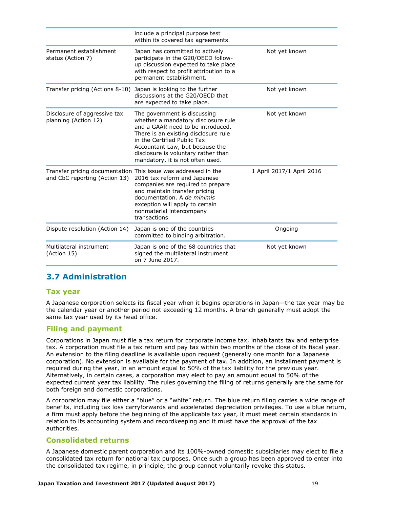| include a principal purpose test<br>within its covered tax agreements.                                                                                                                                                                                                                        |                                                                                                   |
|-----------------------------------------------------------------------------------------------------------------------------------------------------------------------------------------------------------------------------------------------------------------------------------------------|---------------------------------------------------------------------------------------------------|
| Japan has committed to actively<br>participate in the G20/OECD follow-<br>up discussion expected to take place<br>with respect to profit attribution to a<br>permanent establishment.                                                                                                         | Not yet known                                                                                     |
| Japan is looking to the further<br>discussions at the G20/OECD that<br>are expected to take place.                                                                                                                                                                                            | Not yet known                                                                                     |
| The government is discussing<br>whether a mandatory disclosure rule<br>and a GAAR need to be introduced.<br>There is an existing disclosure rule<br>in the Certified Public Tax<br>Accountant Law, but because the<br>disclosure is voluntary rather than<br>mandatory, it is not often used. | Not yet known                                                                                     |
| 2016 tax reform and Japanese<br>companies are required to prepare<br>and maintain transfer pricing<br>documentation. A de minimis<br>exception will apply to certain<br>nonmaterial intercompany<br>transactions.                                                                             | 1 April 2017/1 April 2016                                                                         |
| Japan is one of the countries<br>committed to binding arbitration.                                                                                                                                                                                                                            | Ongoing                                                                                           |
| Japan is one of the 68 countries that<br>signed the multilateral instrument<br>on 7 June 2017.                                                                                                                                                                                                | Not yet known                                                                                     |
|                                                                                                                                                                                                                                                                                               | Transfer pricing (Actions 8-10)<br>Transfer pricing documentation This issue was addressed in the |

## <span id="page-19-0"></span>**3.7 Administration**

#### **Tax year**

A Japanese corporation selects its fiscal year when it begins operations in Japan—the tax year may be the calendar year or another period not exceeding 12 months. A branch generally must adopt the same tax year used by its head office.

#### **Filing and payment**

Corporations in Japan must file a tax return for corporate income tax, inhabitants tax and enterprise tax. A corporation must file a tax return and pay tax within two months of the close of its fiscal year. An extension to the filing deadline is available upon request (generally one month for a Japanese corporation). No extension is available for the payment of tax. In addition, an installment payment is required during the year, in an amount equal to 50% of the tax liability for the previous year. Alternatively, in certain cases, a corporation may elect to pay an amount equal to 50% of the expected current year tax liability. The rules governing the filing of returns generally are the same for both foreign and domestic corporations.

A corporation may file either a "blue" or a "white" return. The blue return filing carries a wide range of benefits, including tax loss carryforwards and accelerated depreciation privileges. To use a blue return, a firm must apply before the beginning of the applicable tax year, it must meet certain standards in relation to its accounting system and recordkeeping and it must have the approval of the tax authorities.

#### **Consolidated returns**

A Japanese domestic parent corporation and its 100%-owned domestic subsidiaries may elect to file a consolidated tax return for national tax purposes. Once such a group has been approved to enter into the consolidated tax regime, in principle, the group cannot voluntarily revoke this status.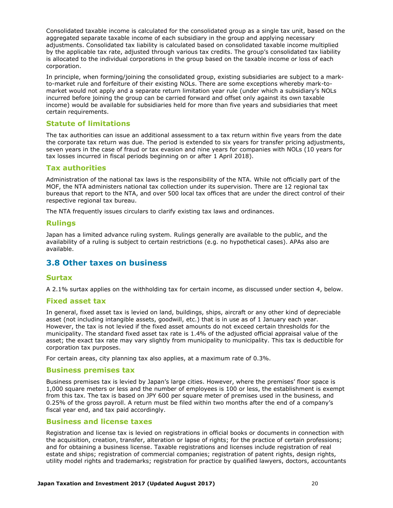Consolidated taxable income is calculated for the consolidated group as a single tax unit, based on the aggregated separate taxable income of each subsidiary in the group and applying necessary adjustments. Consolidated tax liability is calculated based on consolidated taxable income multiplied by the applicable tax rate, adjusted through various tax credits. The group's consolidated tax liability is allocated to the individual corporations in the group based on the taxable income or loss of each corporation.

In principle, when forming/joining the consolidated group, existing subsidiaries are subject to a markto-market rule and forfeiture of their existing NOLs. There are some exceptions whereby mark-tomarket would not apply and a separate return limitation year rule (under which a subsidiary's NOLs incurred before joining the group can be carried forward and offset only against its own taxable income) would be available for subsidiaries held for more than five years and subsidiaries that meet certain requirements.

#### **Statute of limitations**

The tax authorities can issue an additional assessment to a tax return within five years from the date the corporate tax return was due. The period is extended to six years for transfer pricing adjustments, seven years in the case of fraud or tax evasion and nine years for companies with NOLs (10 years for tax losses incurred in fiscal periods beginning on or after 1 April 2018).

#### **Tax authorities**

Administration of the national tax laws is the responsibility of the NTA. While not officially part of the MOF, the NTA administers national tax collection under its supervision. There are 12 regional tax bureaus that report to the NTA, and over 500 local tax offices that are under the direct control of their respective regional tax bureau.

The NTA frequently issues circulars to clarify existing tax laws and ordinances.

#### **Rulings**

Japan has a limited advance ruling system. Rulings generally are available to the public, and the availability of a ruling is subject to certain restrictions (e.g. no hypothetical cases). APAs also are available.

#### <span id="page-20-0"></span>**3.8 Other taxes on business**

#### **Surtax**

A 2.1% surtax applies on the withholding tax for certain income, as discussed under section 4, below.

#### **Fixed asset tax**

In general, fixed asset tax is levied on land, buildings, ships, aircraft or any other kind of depreciable asset (not including intangible assets, goodwill, etc.) that is in use as of 1 January each year. However, the tax is not levied if the fixed asset amounts do not exceed certain thresholds for the municipality. The standard fixed asset tax rate is 1.4% of the adjusted official appraisal value of the asset; the exact tax rate may vary slightly from municipality to municipality. This tax is deductible for corporation tax purposes.

For certain areas, city planning tax also applies, at a maximum rate of 0.3%.

#### **Business premises tax**

Business premises tax is levied by Japan's large cities. However, where the premises' floor space is 1,000 square meters or less and the number of employees is 100 or less, the establishment is exempt from this tax. The tax is based on JPY 600 per square meter of premises used in the business, and 0.25% of the gross payroll. A return must be filed within two months after the end of a company's fiscal year end, and tax paid accordingly.

#### **Business and license taxes**

Registration and license tax is levied on registrations in official books or documents in connection with the acquisition, creation, transfer, alteration or lapse of rights; for the practice of certain professions; and for obtaining a business license. Taxable registrations and licenses include registration of real estate and ships; registration of commercial companies; registration of patent rights, design rights, utility model rights and trademarks; registration for practice by qualified lawyers, doctors, accountants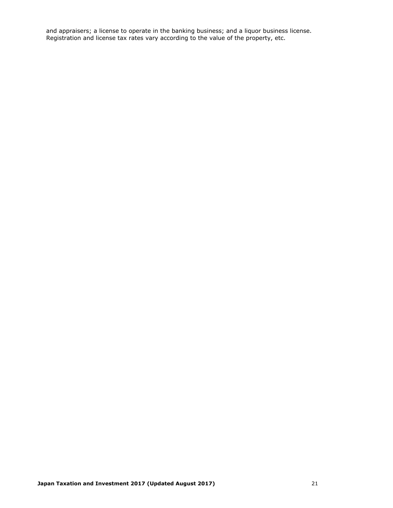and appraisers; a license to operate in the banking business; and a liquor business license. Registration and license tax rates vary according to the value of the property, etc.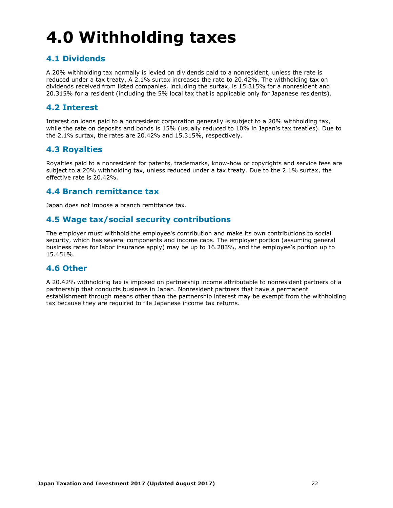# <span id="page-22-0"></span>**4.0 Withholding taxes**

## <span id="page-22-1"></span>**4.1 Dividends**

A 20% withholding tax normally is levied on dividends paid to a nonresident, unless the rate is reduced under a tax treaty. A 2.1% surtax increases the rate to 20.42%. The withholding tax on dividends received from listed companies, including the surtax, is 15.315% for a nonresident and 20.315% for a resident (including the 5% local tax that is applicable only for Japanese residents).

## <span id="page-22-2"></span>**4.2 Interest**

Interest on loans paid to a nonresident corporation generally is subject to a 20% withholding tax, while the rate on deposits and bonds is 15% (usually reduced to 10% in Japan's tax treaties). Due to the 2.1% surtax, the rates are 20.42% and 15.315%, respectively.

## <span id="page-22-3"></span>**4.3 Royalties**

Royalties paid to a nonresident for patents, trademarks, know-how or copyrights and service fees are subject to a 20% withholding tax, unless reduced under a tax treaty. Due to the 2.1% surtax, the effective rate is 20.42%.

## <span id="page-22-4"></span>**4.4 Branch remittance tax**

Japan does not impose a branch remittance tax.

## <span id="page-22-5"></span>**4.5 Wage tax/social security contributions**

The employer must withhold the employee's contribution and make its own contributions to social security, which has several components and income caps. The employer portion (assuming general business rates for labor insurance apply) may be up to 16.283%, and the employee's portion up to 15.451%.

## <span id="page-22-6"></span>**4.6 Other**

A 20.42% withholding tax is imposed on partnership income attributable to nonresident partners of a partnership that conducts business in Japan. Nonresident partners that have a permanent establishment through means other than the partnership interest may be exempt from the withholding tax because they are required to file Japanese income tax returns.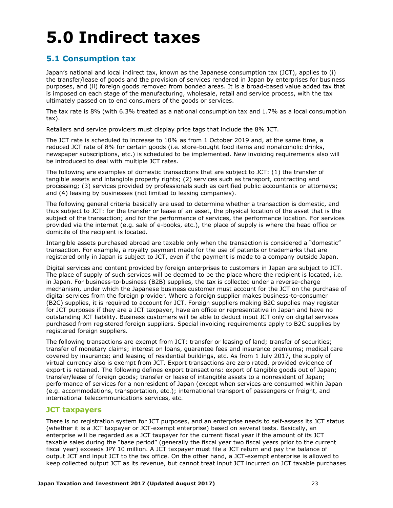## <span id="page-23-0"></span>**5.0 Indirect taxes**

## <span id="page-23-1"></span>**5.1 Consumption tax**

Japan's national and local indirect tax, known as the Japanese consumption tax (JCT), applies to (i) the transfer/lease of goods and the provision of services rendered in Japan by enterprises for business purposes, and (ii) foreign goods removed from bonded areas. It is a broad-based value added tax that is imposed on each stage of the manufacturing, wholesale, retail and service process, with the tax ultimately passed on to end consumers of the goods or services.

The tax rate is 8% (with 6.3% treated as a national consumption tax and 1.7% as a local consumption tax).

Retailers and service providers must display price tags that include the 8% JCT.

The JCT rate is scheduled to increase to 10% as from 1 October 2019 and, at the same time, a reduced JCT rate of 8% for certain goods (i.e. store-bought food items and nonalcoholic drinks, newspaper subscriptions, etc.) is scheduled to be implemented. New invoicing requirements also will be introduced to deal with multiple JCT rates.

The following are examples of domestic transactions that are subject to JCT: (1) the transfer of tangible assets and intangible property rights; (2) services such as transport, contracting and processing; (3) services provided by professionals such as certified public accountants or attorneys; and (4) leasing by businesses (not limited to leasing companies).

The following general criteria basically are used to determine whether a transaction is domestic, and thus subject to JCT: for the transfer or lease of an asset, the physical location of the asset that is the subject of the transaction; and for the performance of services, the performance location. For services provided via the internet (e.g. sale of e-books, etc.), the place of supply is where the head office or domicile of the recipient is located.

Intangible assets purchased abroad are taxable only when the transaction is considered a "domestic" transaction. For example, a royalty payment made for the use of patents or trademarks that are registered only in Japan is subject to JCT, even if the payment is made to a company outside Japan.

Digital services and content provided by foreign enterprises to customers in Japan are subject to JCT. The place of supply of such services will be deemed to be the place where the recipient is located, i.e. in Japan. For business-to-business (B2B) supplies, the tax is collected under a reverse-charge mechanism, under which the Japanese business customer must account for the JCT on the purchase of digital services from the foreign provider. Where a foreign supplier makes business-to-consumer (B2C) supplies, it is required to account for JCT. Foreign suppliers making B2C supplies may register for JCT purposes if they are a JCT taxpayer, have an office or representative in Japan and have no outstanding JCT liability. Business customers will be able to deduct input JCT only on digital services purchased from registered foreign suppliers. Special invoicing requirements apply to B2C supplies by registered foreign suppliers.

The following transactions are exempt from JCT: transfer or leasing of land; transfer of securities; transfer of monetary claims; interest on loans, guarantee fees and insurance premiums; medical care covered by insurance; and leasing of residential buildings, etc. As from 1 July 2017, the supply of virtual currency also is exempt from JCT. Export transactions are zero rated, provided evidence of export is retained. The following defines export transactions: export of tangible goods out of Japan; transfer/lease of foreign goods; transfer or lease of intangible assets to a nonresident of Japan; performance of services for a nonresident of Japan (except when services are consumed within Japan (e.g. accommodations, transportation, etc.); international transport of passengers or freight, and international telecommunications services, etc.

#### **JCT taxpayers**

There is no registration system for JCT purposes, and an enterprise needs to self-assess its JCT status (whether it is a JCT taxpayer or JCT-exempt enterprise) based on several tests. Basically, an enterprise will be regarded as a JCT taxpayer for the current fiscal year if the amount of its JCT taxable sales during the "base period" (generally the fiscal year two fiscal years prior to the current fiscal year) exceeds JPY 10 million. A JCT taxpayer must file a JCT return and pay the balance of output JCT and input JCT to the tax office. On the other hand, a JCT-exempt enterprise is allowed to keep collected output JCT as its revenue, but cannot treat input JCT incurred on JCT taxable purchases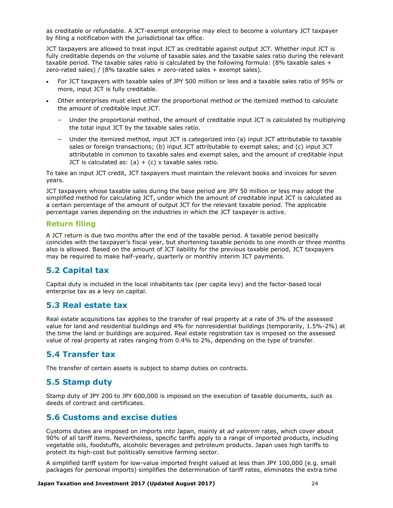as creditable or refundable. A JCT-exempt enterprise may elect to become a voluntary JCT taxpayer by filing a notification with the jurisdictional tax office.

JCT taxpayers are allowed to treat input JCT as creditable against output JCT. Whether input JCT is fully creditable depends on the volume of taxable sales and the taxable sales ratio during the relevant taxable period. The taxable sales ratio is calculated by the following formula: (8% taxable sales + zero-rated sales) /  $(8\%$  taxable sales + zero-rated sales + exempt sales).

- For JCT taxpayers with taxable sales of JPY 500 million or less and a taxable sales ratio of 95% or more, input JCT is fully creditable.
- Other enterprises must elect either the proportional method or the itemized method to calculate the amount of creditable input JCT.
	- Under the proportional method, the amount of creditable input JCT is calculated by multiplying the total input JCT by the taxable sales ratio.
	- Under the itemized method, input JCT is categorized into (a) input JCT attributable to taxable sales or foreign transactions; (b) input JCT attributable to exempt sales; and (c) input JCT attributable in common to taxable sales and exempt sales, and the amount of creditable input JCT is calculated as:  $(a) + (c)$  x taxable sales ratio.

To take an input JCT credit, JCT taxpayers must maintain the relevant books and invoices for seven years.

JCT taxpayers whose taxable sales during the base period are JPY 50 million or less may adopt the simplified method for calculating JCT, under which the amount of creditable input JCT is calculated as a certain percentage of the amount of output JCT for the relevant taxable period. The applicable percentage varies depending on the industries in which the JCT taxpayer is active.

#### **Return filing**

A JCT return is due two months after the end of the taxable period. A taxable period basically coincides with the taxpayer's fiscal year, but shortening taxable periods to one month or three months also is allowed. Based on the amount of JCT liability for the previous taxable period, JCT taxpayers may be required to make half-yearly, quarterly or monthly interim JCT payments.

## <span id="page-24-0"></span>**5.2 Capital tax**

Capital duty is included in the local inhabitants tax (per capita levy) and the factor-based local enterprise tax as a levy on capital.

#### <span id="page-24-1"></span>**5.3 Real estate tax**

Real estate acquisitions tax applies to the transfer of real property at a rate of 3% of the assessed value for land and residential buildings and 4% for nonresidential buildings (temporarily, 1.5%-2%) at the time the land or buildings are acquired. Real estate registration tax is imposed on the assessed value of real property at rates ranging from 0.4% to 2%, depending on the type of transfer.

## <span id="page-24-2"></span>**5.4 Transfer tax**

The transfer of certain assets is subject to stamp duties on contracts.

## <span id="page-24-3"></span>**5.5 Stamp duty**

Stamp duty of JPY 200 to JPY 600,000 is imposed on the execution of taxable documents, such as deeds of contract and certificates.

## <span id="page-24-4"></span>**5.6 Customs and excise duties**

Customs duties are imposed on imports into Japan, mainly at *ad valorem* rates, which cover about 90% of all tariff items. Nevertheless, specific tariffs apply to a range of imported products, including vegetable oils, foodstuffs, alcoholic beverages and petroleum products. Japan uses high tariffs to protect its high-cost but politically sensitive farming sector.

A simplified tariff system for low-value imported freight valued at less than JPY 100,000 (e.g. small packages for personal imports) simplifies the determination of tariff rates, eliminates the extra time

#### **Japan Taxation and Investment 2017 (Updated August 2017)** 24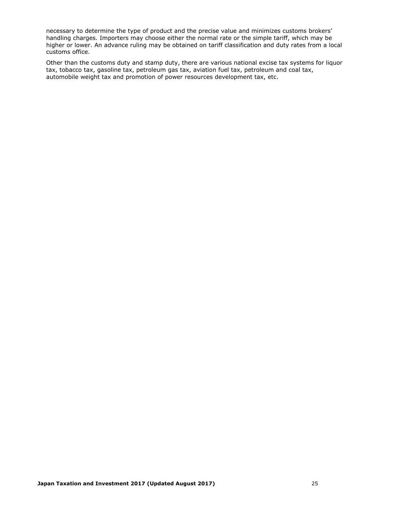necessary to determine the type of product and the precise value and minimizes customs brokers' handling charges. Importers may choose either the normal rate or the simple tariff, which may be higher or lower. An advance ruling may be obtained on tariff classification and duty rates from a local customs office.

Other than the customs duty and stamp duty, there are various national excise tax systems for liquor tax, tobacco tax, gasoline tax, petroleum gas tax, aviation fuel tax, petroleum and coal tax, automobile weight tax and promotion of power resources development tax, etc.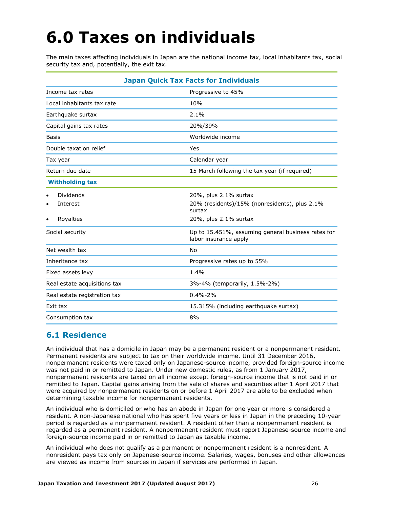## <span id="page-26-0"></span>**6.0 Taxes on individuals**

The main taxes affecting individuals in Japan are the national income tax, local inhabitants tax, social security tax and, potentially, the exit tax.

| <b>Japan Quick Tax Facts for Individuals</b> |                                                                                  |  |  |  |
|----------------------------------------------|----------------------------------------------------------------------------------|--|--|--|
| Income tax rates                             | Progressive to 45%                                                               |  |  |  |
| Local inhabitants tax rate                   | 10%                                                                              |  |  |  |
| Earthquake surtax                            | 2.1%                                                                             |  |  |  |
| Capital gains tax rates                      | 20%/39%                                                                          |  |  |  |
| <b>Basis</b>                                 | Worldwide income                                                                 |  |  |  |
| Double taxation relief                       | Yes                                                                              |  |  |  |
| Tax year                                     | Calendar year                                                                    |  |  |  |
| Return due date                              | 15 March following the tax year (if required)                                    |  |  |  |
| <b>Withholding tax</b>                       |                                                                                  |  |  |  |
| Dividends<br>٠<br>Interest<br>٠              | 20%, plus 2.1% surtax<br>20% (residents)/15% (nonresidents), plus 2.1%<br>surtax |  |  |  |
| Royalties<br>٠                               | 20%, plus 2.1% surtax                                                            |  |  |  |
| Social security                              | Up to 15.451%, assuming general business rates for<br>labor insurance apply      |  |  |  |
| Net wealth tax                               | No                                                                               |  |  |  |
| Inheritance tax                              | Progressive rates up to 55%                                                      |  |  |  |
| Fixed assets levy                            | 1.4%                                                                             |  |  |  |
| Real estate acquisitions tax                 | 3%-4% (temporarily, 1.5%-2%)                                                     |  |  |  |
| Real estate registration tax                 | $0.4\% - 2\%$                                                                    |  |  |  |
| Exit tax                                     | 15.315% (including earthquake surtax)                                            |  |  |  |
| Consumption tax                              | 8%                                                                               |  |  |  |

## <span id="page-26-1"></span>**6.1 Residence**

An individual that has a domicile in Japan may be a permanent resident or a nonpermanent resident. Permanent residents are subject to tax on their worldwide income. Until 31 December 2016, nonpermanent residents were taxed only on Japanese-source income, provided foreign-source income was not paid in or remitted to Japan. Under new domestic rules, as from 1 January 2017, nonpermanent residents are taxed on all income except foreign-source income that is not paid in or remitted to Japan. Capital gains arising from the sale of shares and securities after 1 April 2017 that were acquired by nonpermanent residents on or before 1 April 2017 are able to be excluded when determining taxable income for nonpermanent residents.

An individual who is domiciled or who has an abode in Japan for one year or more is considered a resident. A non-Japanese national who has spent five years or less in Japan in the preceding 10-year period is regarded as a nonpermanent resident. A resident other than a nonpermanent resident is regarded as a permanent resident. A nonpermanent resident must report Japanese-source income and foreign-source income paid in or remitted to Japan as taxable income.

An individual who does not qualify as a permanent or nonpermanent resident is a nonresident. A nonresident pays tax only on Japanese-source income. Salaries, wages, bonuses and other allowances are viewed as income from sources in Japan if services are performed in Japan.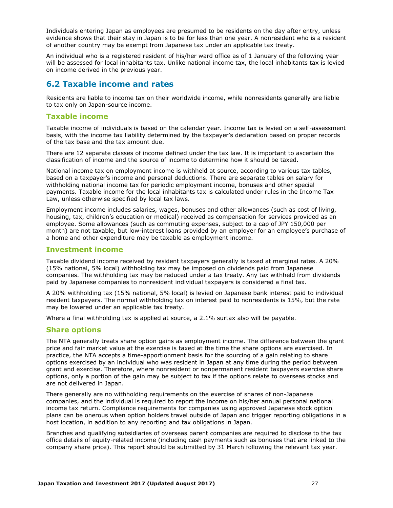Individuals entering Japan as employees are presumed to be residents on the day after entry, unless evidence shows that their stay in Japan is to be for less than one year. A nonresident who is a resident of another country may be exempt from Japanese tax under an applicable tax treaty.

An individual who is a registered resident of his/her ward office as of 1 January of the following year will be assessed for local inhabitants tax. Unlike national income tax, the local inhabitants tax is levied on income derived in the previous year.

## <span id="page-27-0"></span>**6.2 Taxable income and rates**

Residents are liable to income tax on their worldwide income, while nonresidents generally are liable to tax only on Japan-source income.

#### **Taxable income**

Taxable income of individuals is based on the calendar year. Income tax is levied on a self-assessment basis, with the income tax liability determined by the taxpayer's declaration based on proper records of the tax base and the tax amount due.

There are 12 separate classes of income defined under the tax law. It is important to ascertain the classification of income and the source of income to determine how it should be taxed.

National income tax on employment income is withheld at source, according to various tax tables, based on a taxpayer's income and personal deductions. There are separate tables on salary for withholding national income tax for periodic employment income, bonuses and other special payments. Taxable income for the local inhabitants tax is calculated under rules in the Income Tax Law, unless otherwise specified by local tax laws.

Employment income includes salaries, wages, bonuses and other allowances (such as cost of living, housing, tax, children's education or medical) received as compensation for services provided as an employee. Some allowances (such as commuting expenses, subject to a cap of JPY 150,000 per month) are not taxable, but low-interest loans provided by an employer for an employee's purchase of a home and other expenditure may be taxable as employment income.

#### **Investment income**

Taxable dividend income received by resident taxpayers generally is taxed at marginal rates. A 20% (15% national, 5% local) withholding tax may be imposed on dividends paid from Japanese companies. The withholding tax may be reduced under a tax treaty. Any tax withheld from dividends paid by Japanese companies to nonresident individual taxpayers is considered a final tax.

A 20% withholding tax (15% national, 5% local) is levied on Japanese bank interest paid to individual resident taxpayers. The normal withholding tax on interest paid to nonresidents is 15%, but the rate may be lowered under an applicable tax treaty.

Where a final withholding tax is applied at source, a 2.1% surtax also will be payable.

#### **Share options**

The NTA generally treats share option gains as employment income. The difference between the grant price and fair market value at the exercise is taxed at the time the share options are exercised. In practice, the NTA accepts a time-apportionment basis for the sourcing of a gain relating to share options exercised by an individual who was resident in Japan at any time during the period between grant and exercise. Therefore, where nonresident or nonpermanent resident taxpayers exercise share options, only a portion of the gain may be subject to tax if the options relate to overseas stocks and are not delivered in Japan.

There generally are no withholding requirements on the exercise of shares of non-Japanese companies, and the individual is required to report the income on his/her annual personal national income tax return. Compliance requirements for companies using approved Japanese stock option plans can be onerous when option holders travel outside of Japan and trigger reporting obligations in a host location, in addition to any reporting and tax obligations in Japan.

Branches and qualifying subsidiaries of overseas parent companies are required to disclose to the tax office details of equity-related income (including cash payments such as bonuses that are linked to the company share price). This report should be submitted by 31 March following the relevant tax year.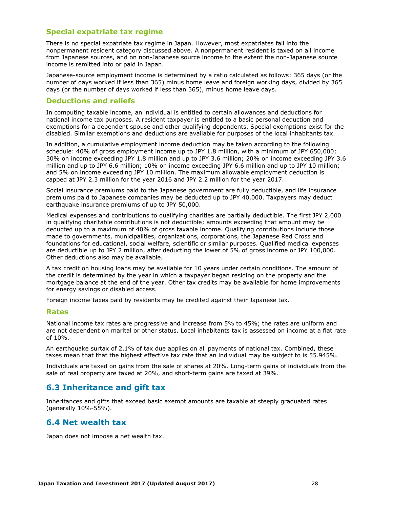#### **Special expatriate tax regime**

There is no special expatriate tax regime in Japan. However, most expatriates fall into the nonpermanent resident category discussed above. A nonpermanent resident is taxed on all income from Japanese sources, and on non-Japanese source income to the extent the non-Japanese source income is remitted into or paid in Japan.

Japanese-source employment income is determined by a ratio calculated as follows: 365 days (or the number of days worked if less than 365) minus home leave and foreign working days, divided by 365 days (or the number of days worked if less than 365), minus home leave days.

#### **Deductions and reliefs**

In computing taxable income, an individual is entitled to certain allowances and deductions for national income tax purposes. A resident taxpayer is entitled to a basic personal deduction and exemptions for a dependent spouse and other qualifying dependents. Special exemptions exist for the disabled. Similar exemptions and deductions are available for purposes of the local inhabitants tax.

In addition, a cumulative employment income deduction may be taken according to the following schedule: 40% of gross employment income up to JPY 1.8 million, with a minimum of JPY 650,000; 30% on income exceeding JPY 1.8 million and up to JPY 3.6 million; 20% on income exceeding JPY 3.6 million and up to JPY 6.6 million; 10% on income exceeding JPY 6.6 million and up to JPY 10 million; and 5% on income exceeding JPY 10 million. The maximum allowable employment deduction is capped at JPY 2.3 million for the year 2016 and JPY 2.2 million for the year 2017.

Social insurance premiums paid to the Japanese government are fully deductible, and life insurance premiums paid to Japanese companies may be deducted up to JPY 40,000. Taxpayers may deduct earthquake insurance premiums of up to JPY 50,000.

Medical expenses and contributions to qualifying charities are partially deductible. The first JPY 2,000 in qualifying charitable contributions is not deductible; amounts exceeding that amount may be deducted up to a maximum of 40% of gross taxable income. Qualifying contributions include those made to governments, municipalities, organizations, corporations, the Japanese Red Cross and foundations for educational, social welfare, scientific or similar purposes. Qualified medical expenses are deductible up to JPY 2 million, after deducting the lower of 5% of gross income or JPY 100,000. Other deductions also may be available.

A tax credit on housing loans may be available for 10 years under certain conditions. The amount of the credit is determined by the year in which a taxpayer began residing on the property and the mortgage balance at the end of the year. Other tax credits may be available for home improvements for energy savings or disabled access.

Foreign income taxes paid by residents may be credited against their Japanese tax.

#### **Rates**

National income tax rates are progressive and increase from 5% to 45%; the rates are uniform and are not dependent on marital or other status. Local inhabitants tax is assessed on income at a flat rate of 10%.

An earthquake surtax of 2.1% of tax due applies on all payments of national tax. Combined, these taxes mean that that the highest effective tax rate that an individual may be subject to is 55.945%.

Individuals are taxed on gains from the sale of shares at 20%. Long-term gains of individuals from the sale of real property are taxed at 20%, and short-term gains are taxed at 39%.

#### <span id="page-28-0"></span>**6.3 Inheritance and gift tax**

Inheritances and gifts that exceed basic exempt amounts are taxable at steeply graduated rates (generally 10%-55%).

## <span id="page-28-1"></span>**6.4 Net wealth tax**

Japan does not impose a net wealth tax.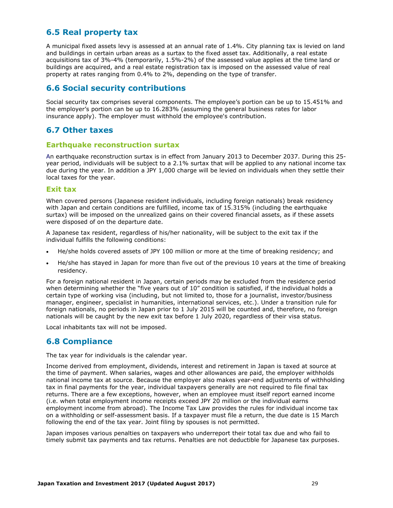## <span id="page-29-0"></span>**6.5 Real property tax**

A municipal fixed assets levy is assessed at an annual rate of 1.4%. City planning tax is levied on land and buildings in certain urban areas as a surtax to the fixed asset tax. Additionally, a real estate acquisitions tax of 3%-4% (temporarily, 1.5%-2%) of the assessed value applies at the time land or buildings are acquired, and a real estate registration tax is imposed on the assessed value of real property at rates ranging from 0.4% to 2%, depending on the type of transfer.

## <span id="page-29-1"></span>**6.6 Social security contributions**

Social security tax comprises several components. The employee's portion can be up to 15.451% and the employer's portion can be up to 16.283% (assuming the general business rates for labor insurance apply). The employer must withhold the employee's contribution.

## <span id="page-29-2"></span>**6.7 Other taxes**

#### **Earthquake reconstruction surtax**

An earthquake reconstruction surtax is in effect from January 2013 to December 2037. During this 25 year period, individuals will be subject to a 2.1% surtax that will be applied to any national income tax due during the year. In addition a JPY 1,000 charge will be levied on individuals when they settle their local taxes for the year.

#### **Exit tax**

When covered persons (Japanese resident individuals, including foreign nationals) break residency with Japan and certain conditions are fulfilled, income tax of 15.315% (including the earthquake surtax) will be imposed on the unrealized gains on their covered financial assets, as if these assets were disposed of on the departure date.

A Japanese tax resident, regardless of his/her nationality, will be subject to the exit tax if the individual fulfills the following conditions:

- He/she holds covered assets of JPY 100 million or more at the time of breaking residency; and
- He/she has stayed in Japan for more than five out of the previous 10 years at the time of breaking residency.

For a foreign national resident in Japan, certain periods may be excluded from the residence period when determining whether the "five years out of 10" condition is satisfied, if the individual holds a certain type of working visa (including, but not limited to, those for a journalist, investor/business manager, engineer, specialist in humanities, international services, etc.). Under a transition rule for foreign nationals, no periods in Japan prior to 1 July 2015 will be counted and, therefore, no foreign nationals will be caught by the new exit tax before 1 July 2020, regardless of their visa status.

Local inhabitants tax will not be imposed.

## <span id="page-29-3"></span>**6.8 Compliance**

The tax year for individuals is the calendar year.

Income derived from employment, dividends, interest and retirement in Japan is taxed at source at the time of payment. When salaries, wages and other allowances are paid, the employer withholds national income tax at source. Because the employer also makes year-end adjustments of withholding tax in final payments for the year, individual taxpayers generally are not required to file final tax returns. There are a few exceptions, however, when an employee must itself report earned income (i.e. when total employment income receipts exceed JPY 20 million or the individual earns employment income from abroad). The Income Tax Law provides the rules for individual income tax on a withholding or self-assessment basis. If a taxpayer must file a return, the due date is 15 March following the end of the tax year. Joint filing by spouses is not permitted.

Japan imposes various penalties on taxpayers who underreport their total tax due and who fail to timely submit tax payments and tax returns. Penalties are not deductible for Japanese tax purposes.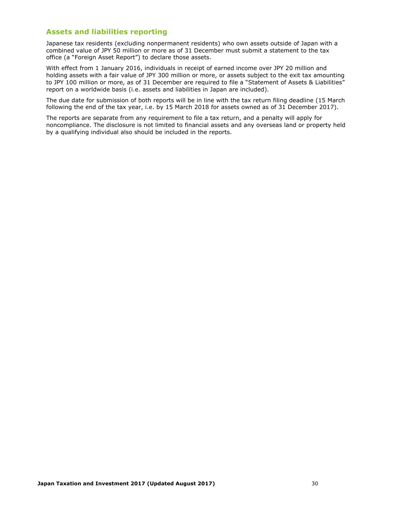#### **Assets and liabilities reporting**

Japanese tax residents (excluding nonpermanent residents) who own assets outside of Japan with a combined value of JPY 50 million or more as of 31 December must submit a statement to the tax office (a "Foreign Asset Report") to declare those assets.

With effect from 1 January 2016, individuals in receipt of earned income over JPY 20 million and holding assets with a fair value of JPY 300 million or more, or assets subject to the exit tax amounting to JPY 100 million or more, as of 31 December are required to file a "Statement of Assets & Liabilities" report on a worldwide basis (i.e. assets and liabilities in Japan are included).

The due date for submission of both reports will be in line with the tax return filing deadline (15 March following the end of the tax year, i.e. by 15 March 2018 for assets owned as of 31 December 2017).

The reports are separate from any requirement to file a tax return, and a penalty will apply for noncompliance. The disclosure is not limited to financial assets and any overseas land or property held by a qualifying individual also should be included in the reports.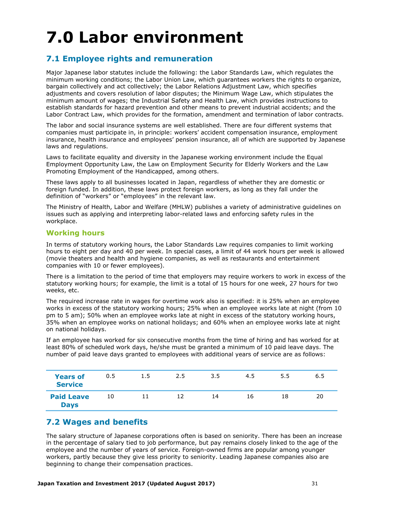# <span id="page-31-0"></span>**7.0 Labor environment**

## <span id="page-31-1"></span>**7.1 Employee rights and remuneration**

Major Japanese labor statutes include the following: the Labor Standards Law, which regulates the minimum working conditions; the Labor Union Law, which guarantees workers the rights to organize, bargain collectively and act collectively; the Labor Relations Adjustment Law, which specifies adjustments and covers resolution of labor disputes; the Minimum Wage Law, which stipulates the minimum amount of wages; the Industrial Safety and Health Law, which provides instructions to establish standards for hazard prevention and other means to prevent industrial accidents; and the Labor Contract Law, which provides for the formation, amendment and termination of labor contracts.

The labor and social insurance systems are well established. There are four different systems that companies must participate in, in principle: workers' accident compensation insurance, employment insurance, health insurance and employees' pension insurance, all of which are supported by Japanese laws and regulations.

Laws to facilitate equality and diversity in the Japanese working environment include the Equal Employment Opportunity Law, the Law on Employment Security for Elderly Workers and the Law Promoting Employment of the Handicapped, among others.

These laws apply to all businesses located in Japan, regardless of whether they are domestic or foreign funded. In addition, these laws protect foreign workers, as long as they fall under the definition of "workers" or "employees" in the relevant law.

The Ministry of Health, Labor and Welfare (MHLW) publishes a variety of administrative guidelines on issues such as applying and interpreting labor-related laws and enforcing safety rules in the workplace.

#### **Working hours**

In terms of statutory working hours, the Labor Standards Law requires companies to limit working hours to eight per day and 40 per week. In special cases, a limit of 44 work hours per week is allowed (movie theaters and health and hygiene companies, as well as restaurants and entertainment companies with 10 or fewer employees).

There is a limitation to the period of time that employers may require workers to work in excess of the statutory working hours; for example, the limit is a total of 15 hours for one week, 27 hours for two weeks, etc.

The required increase rate in wages for overtime work also is specified: it is 25% when an employee works in excess of the statutory working hours; 25% when an employee works late at night (from 10 pm to 5 am); 50% when an employee works late at night in excess of the statutory working hours, 35% when an employee works on national holidays; and 60% when an employee works late at night on national holidays.

If an employee has worked for six consecutive months from the time of hiring and has worked for at least 80% of scheduled work days, he/she must be granted a minimum of 10 paid leave days. The number of paid leave days granted to employees with additional years of service are as follows:

| <b>Years of</b><br><b>Service</b> | 0.5 | 1.5 | 2.5 | 3.5 | 4.5 | 5.5 | 6.5 |
|-----------------------------------|-----|-----|-----|-----|-----|-----|-----|
| <b>Paid Leave</b><br><b>Days</b>  | 10  |     | 12  | 14  | 16  | 18  | 20  |

## <span id="page-31-2"></span>**7.2 Wages and benefits**

The salary structure of Japanese corporations often is based on seniority. There has been an increase in the percentage of salary tied to job performance, but pay remains closely linked to the age of the employee and the number of years of service. Foreign-owned firms are popular among younger workers, partly because they give less priority to seniority. Leading Japanese companies also are beginning to change their compensation practices.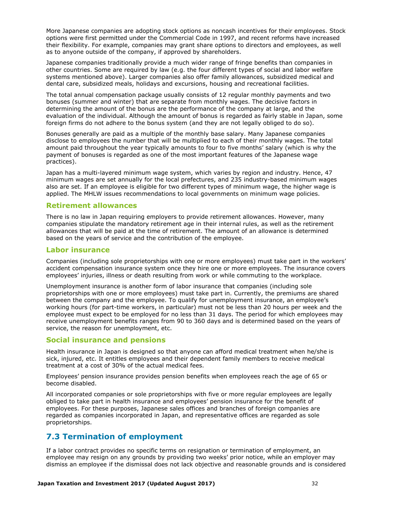More Japanese companies are adopting stock options as noncash incentives for their employees. Stock options were first permitted under the Commercial Code in 1997, and recent reforms have increased their flexibility. For example, companies may grant share options to directors and employees, as well as to anyone outside of the company, if approved by shareholders.

Japanese companies traditionally provide a much wider range of fringe benefits than companies in other countries. Some are required by law (e.g. the four different types of social and labor welfare systems mentioned above). Larger companies also offer family allowances, subsidized medical and dental care, subsidized meals, holidays and excursions, housing and recreational facilities.

The total annual compensation package usually consists of 12 regular monthly payments and two bonuses (summer and winter) that are separate from monthly wages. The decisive factors in determining the amount of the bonus are the performance of the company at large, and the evaluation of the individual. Although the amount of bonus is regarded as fairly stable in Japan, some foreign firms do not adhere to the bonus system (and they are not legally obliged to do so).

Bonuses generally are paid as a multiple of the monthly base salary. Many Japanese companies disclose to employees the number that will be multiplied to each of their monthly wages. The total amount paid throughout the year typically amounts to four to five months' salary (which is why the payment of bonuses is regarded as one of the most important features of the Japanese wage practices).

Japan has a multi-layered minimum wage system, which varies by region and industry. Hence, 47 minimum wages are set annually for the local prefectures, and 235 industry-based minimum wages also are set. If an employee is eligible for two different types of minimum wage, the higher wage is applied. The MHLW issues recommendations to local governments on minimum wage policies.

#### **Retirement allowances**

There is no law in Japan requiring employers to provide retirement allowances. However, many companies stipulate the mandatory retirement age in their internal rules, as well as the retirement allowances that will be paid at the time of retirement. The amount of an allowance is determined based on the years of service and the contribution of the employee.

#### **Labor insurance**

Companies (including sole proprietorships with one or more employees) must take part in the workers' accident compensation insurance system once they hire one or more employees. The insurance covers employees' injuries, illness or death resulting from work or while commuting to the workplace.

Unemployment insurance is another form of labor insurance that companies (including sole proprietorships with one or more employees) must take part in. Currently, the premiums are shared between the company and the employee. To qualify for unemployment insurance, an employee's working hours (for part-time workers, in particular) must not be less than 20 hours per week and the employee must expect to be employed for no less than 31 days. The period for which employees may receive unemployment benefits ranges from 90 to 360 days and is determined based on the years of service, the reason for unemployment, etc.

#### **Social insurance and pensions**

Health insurance in Japan is designed so that anyone can afford medical treatment when he/she is sick, injured, etc. It entitles employees and their dependent family members to receive medical treatment at a cost of 30% of the actual medical fees.

Employees' pension insurance provides pension benefits when employees reach the age of 65 or become disabled.

All incorporated companies or sole proprietorships with five or more regular employees are legally obliged to take part in health insurance and employees' pension insurance for the benefit of employees. For these purposes, Japanese sales offices and branches of foreign companies are regarded as companies incorporated in Japan, and representative offices are regarded as sole proprietorships.

## <span id="page-32-0"></span>**7.3 Termination of employment**

If a labor contract provides no specific terms on resignation or termination of employment, an employee may resign on any grounds by providing two weeks' prior notice, while an employer may dismiss an employee if the dismissal does not lack objective and reasonable grounds and is considered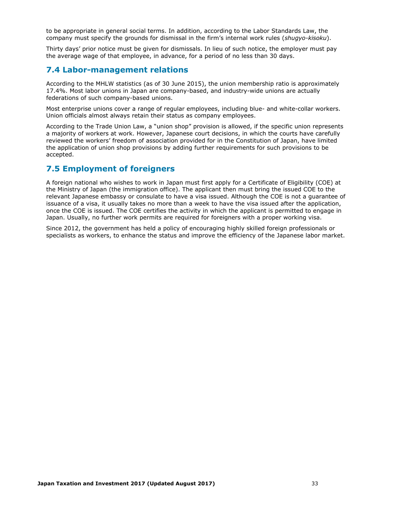to be appropriate in general social terms. In addition, according to the Labor Standards Law, the company must specify the grounds for dismissal in the firm's internal work rules (*shugyo-kisoku*).

Thirty days' prior notice must be given for dismissals. In lieu of such notice, the employer must pay the average wage of that employee, in advance, for a period of no less than 30 days.

### <span id="page-33-0"></span>**7.4 Labor-management relations**

According to the MHLW statistics (as of 30 June 2015), the union membership ratio is approximately 17.4%. Most labor unions in Japan are company-based, and industry-wide unions are actually federations of such company-based unions.

Most enterprise unions cover a range of regular employees, including blue- and white-collar workers. Union officials almost always retain their status as company employees.

According to the Trade Union Law, a "union shop" provision is allowed, if the specific union represents a majority of workers at work. However, Japanese court decisions, in which the courts have carefully reviewed the workers' freedom of association provided for in the Constitution of Japan, have limited the application of union shop provisions by adding further requirements for such provisions to be accepted.

## <span id="page-33-1"></span>**7.5 Employment of foreigners**

A foreign national who wishes to work in Japan must first apply for a Certificate of Eligibility (COE) at the Ministry of Japan (the immigration office). The applicant then must bring the issued COE to the relevant Japanese embassy or consulate to have a visa issued. Although the COE is not a guarantee of issuance of a visa, it usually takes no more than a week to have the visa issued after the application, once the COE is issued. The COE certifies the activity in which the applicant is permitted to engage in Japan. Usually, no further work permits are required for foreigners with a proper working visa.

Since 2012, the government has held a policy of encouraging highly skilled foreign professionals or specialists as workers, to enhance the status and improve the efficiency of the Japanese labor market.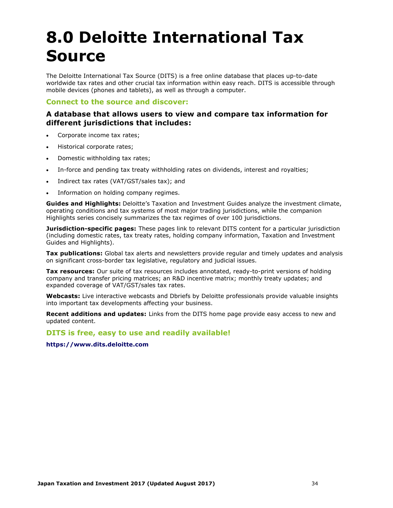## <span id="page-34-0"></span>**8.0 Deloitte International Tax Source**

The Deloitte International Tax Source (DITS) is a free online database that places up-to-date worldwide tax rates and other crucial tax information within easy reach. DITS is accessible through mobile devices (phones and tablets), as well as through a computer.

#### **Connect to the source and discover:**

### **A database that allows users to view and compare tax information for different jurisdictions that includes:**

- Corporate income tax rates;
- Historical corporate rates;
- Domestic withholding tax rates;
- In-force and pending tax treaty withholding rates on dividends, interest and royalties;
- Indirect tax rates (VAT/GST/sales tax); and
- Information on holding company regimes.

**Guides and Highlights:** Deloitte's Taxation and Investment Guides analyze the investment climate, operating conditions and tax systems of most major trading jurisdictions, while the companion Highlights series concisely summarizes the tax regimes of over 100 jurisdictions.

**Jurisdiction-specific pages:** These pages link to relevant DITS content for a particular jurisdiction (including domestic rates, tax treaty rates, holding company information, Taxation and Investment Guides and Highlights).

**Tax publications:** Global tax alerts and newsletters provide regular and timely updates and analysis on significant cross-border tax legislative, regulatory and judicial issues.

**Tax resources:** Our suite of tax resources includes annotated, ready-to-print versions of holding company and transfer pricing matrices; an R&D incentive matrix; monthly treaty updates; and expanded coverage of VAT/GST/sales tax rates.

**Webcasts:** Live interactive webcasts and Dbriefs by Deloitte professionals provide valuable insights into important tax developments affecting your business.

**Recent additions and updates:** Links from the DITS home page provide easy access to new and updated content.

#### **DITS is free, easy to use and readily available!**

**[https://www.dits.deloitte.com](https://www.dits.deloitte.com/)**